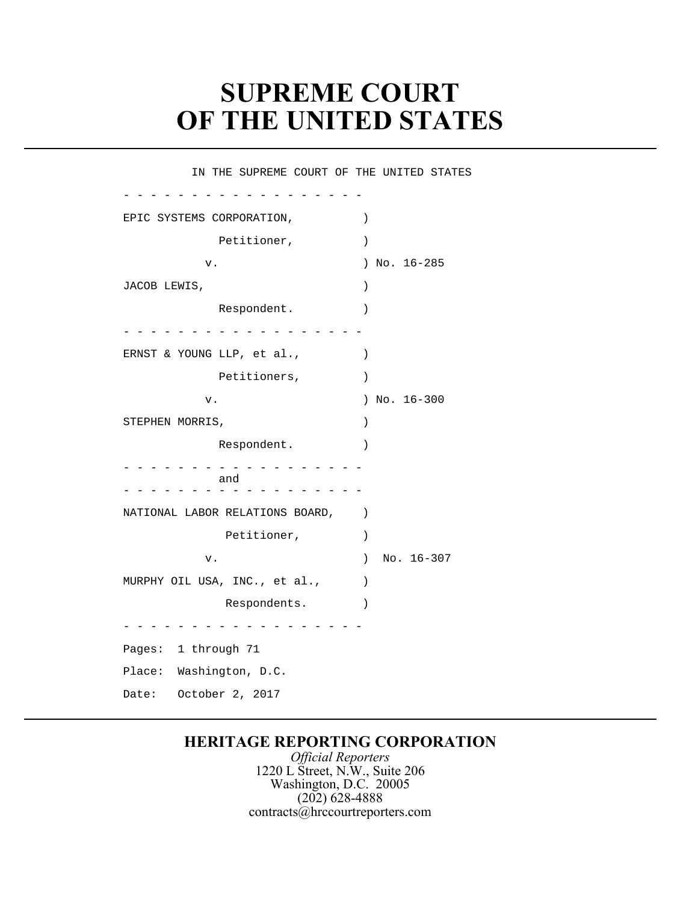## **SUPREME COURT** � **OF THE UNITED STATES**

IN THE SUPREME COURT OF THE UNITED STATES

| EPIC SYSTEMS CORPORATION,       | $\mathcal{C}$               |
|---------------------------------|-----------------------------|
| Petitioner,                     | $\mathcal{E}$               |
| ν.                              | No. 16-285<br>$\lambda$     |
| JACOB LEWIS,                    | $\mathcal{C}$               |
| Respondent.                     | $\mathcal{E}$               |
|                                 |                             |
| ERNST & YOUNG LLP, et al.,      | $\mathcal{E}$               |
| Petitioners,                    | $\mathcal{E}$               |
| v.                              | No. 16-300<br>$\mathcal{L}$ |
| STEPHEN MORRIS,                 | $\mathcal{C}$               |
| Respondent.                     | $\mathcal{E}$               |
|                                 |                             |
| and                             |                             |
| NATIONAL LABOR RELATIONS BOARD, | $\mathcal{C}$               |
| Petitioner,                     | $\mathcal{E}$               |
| v.                              | No. 16-307<br>$\lambda$     |
| MURPHY OIL USA, INC., et al.,   | $\lambda$                   |
| Respondents.                    | $\mathcal{E}$               |
|                                 |                             |
| Pages: 1 through 71             |                             |
| Place: Washington, D.C.         |                             |
| October 2, 2017<br>Date:        |                             |

## **HERITAGE REPORTING CORPORATION**

*Official Reporters*  1220 L Street, N.W., Suite 206 Washington, D.C. 20005 (202) 628-4888 contracts@hrccourtreporters.com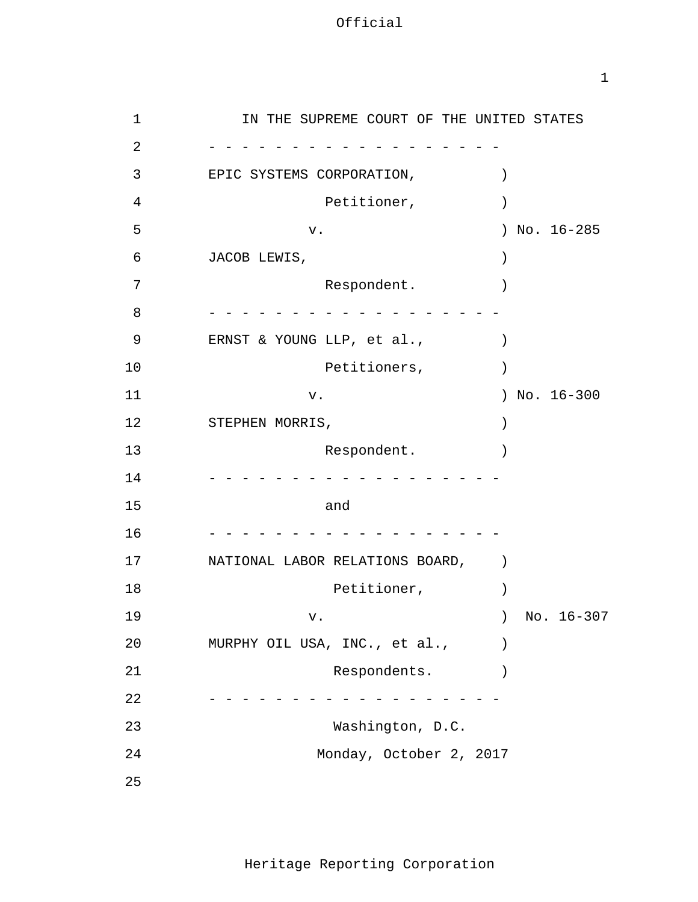1

| $\mathbf 1$    | IN THE SUPREME COURT OF THE UNITED STATES |                  |
|----------------|-------------------------------------------|------------------|
| 2              |                                           |                  |
| 3              | EPIC SYSTEMS CORPORATION,                 | $\mathcal{C}$    |
| $\overline{4}$ | Petitioner,                               |                  |
| 5              | ${\bf v}$ .                               | ) No. $16-285$   |
| 6              | JACOB LEWIS,                              | $\mathcal{C}$    |
| 7              | Respondent.                               | $\mathcal{E}$    |
| 8              |                                           |                  |
| 9              | ERNST & YOUNG LLP, et al.,                | $\left( \right)$ |
| 10             | Petitioners,                              | $\left( \right)$ |
| 11             | ${\bf v}$ .                               | ) No. $16-300$   |
| 12             | STEPHEN MORRIS,                           | $\mathcal{C}$    |
| 13             | Respondent.                               |                  |
| 14             |                                           |                  |
| 15             | and                                       |                  |
| 16             |                                           |                  |
| 17             | NATIONAL LABOR RELATIONS BOARD,           | $\lambda$        |
| 18             | Petitioner,                               |                  |
| 19             | v.                                        | No. 16-307       |
| 20             | MURPHY OIL USA, INC., et al.,             |                  |
| 21             | Respondents.                              |                  |
| 22             |                                           |                  |
| 23             | Washington, D.C.                          |                  |
| 24             | Monday, October 2, 2017                   |                  |
| 25             |                                           |                  |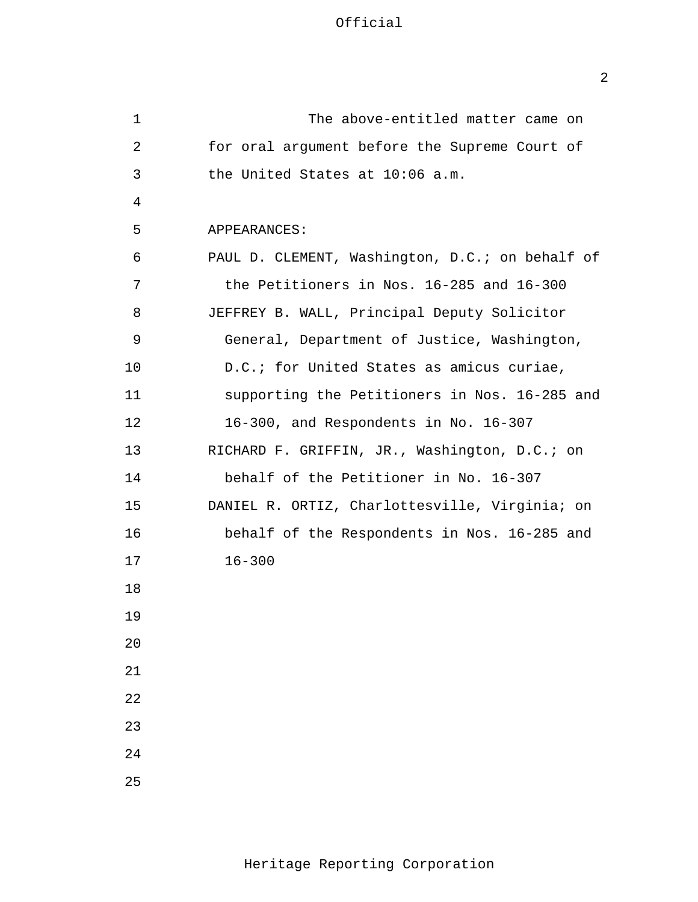Official

| 1  | The above-entitled matter came on               |
|----|-------------------------------------------------|
| 2  | for oral argument before the Supreme Court of   |
| 3  | the United States at 10:06 a.m.                 |
| 4  |                                                 |
| 5  | APPEARANCES:                                    |
| 6  | PAUL D. CLEMENT, Washington, D.C.; on behalf of |
| 7  | the Petitioners in Nos. 16-285 and 16-300       |
| 8  | JEFFREY B. WALL, Principal Deputy Solicitor     |
| 9  | General, Department of Justice, Washington,     |
| 10 | D.C.; for United States as amicus curiae,       |
| 11 | supporting the Petitioners in Nos. 16-285 and   |
| 12 | 16-300, and Respondents in No. 16-307           |
| 13 | RICHARD F. GRIFFIN, JR., Washington, D.C.; on   |
| 14 | behalf of the Petitioner in No. 16-307          |
| 15 | DANIEL R. ORTIZ, Charlottesville, Virginia; on  |
| 16 | behalf of the Respondents in Nos. 16-285 and    |
| 17 | $16 - 300$                                      |
| 18 |                                                 |
| 19 |                                                 |
| 20 |                                                 |
| 21 |                                                 |
| 22 |                                                 |
| 23 |                                                 |
| 24 |                                                 |
| 25 |                                                 |

2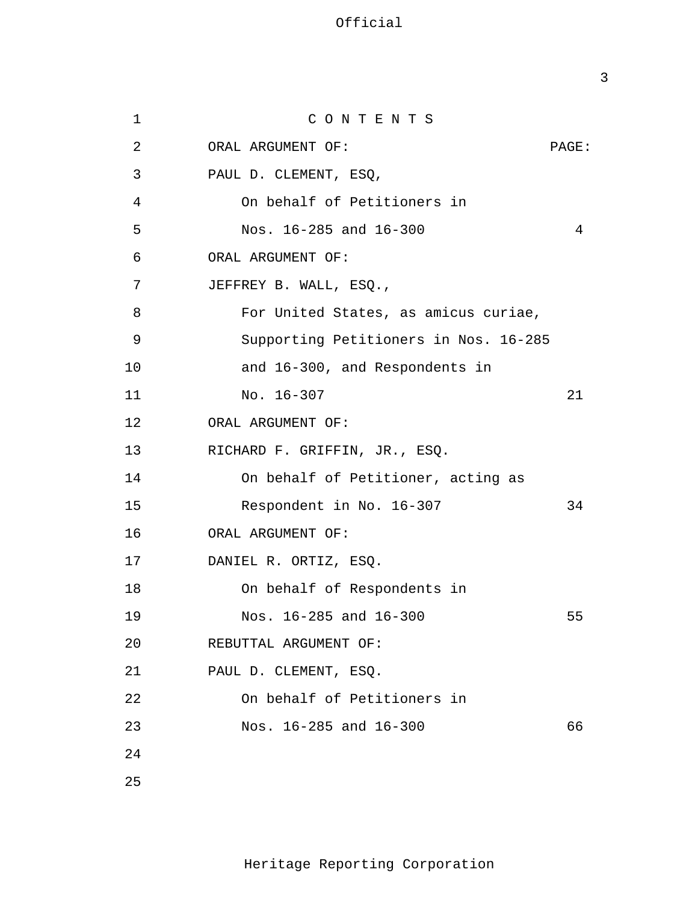1 2 3 4 5 6 7 8 9 10 11 12 13 14 15 16 17 18 19 20 21 22 23 24 25 C O N T E N T S ORAL ARGUMENT OF: PAGE: PAUL D. CLEMENT, ESQ, On behalf of Petitioners in Nos. 16-285 and 16-300 4 ORAL ARGUMENT OF: JEFFREY B. WALL, ESQ., For United States, as amicus curiae, Supporting Petitioners in Nos. 16-285 and 16-300, and Respondents in No. 16-307 21 ORAL ARGUMENT OF: RICHARD F. GRIFFIN, JR., ESQ. On behalf of Petitioner, acting as Respondent in No. 16-307 34 ORAL ARGUMENT OF: DANIEL R. ORTIZ, ESQ. On behalf of Respondents in Nos. 16-285 and 16-300 55 REBUTTAL ARGUMENT OF: PAUL D. CLEMENT, ESQ. On behalf of Petitioners in Nos. 16-285 and 16-300 66

3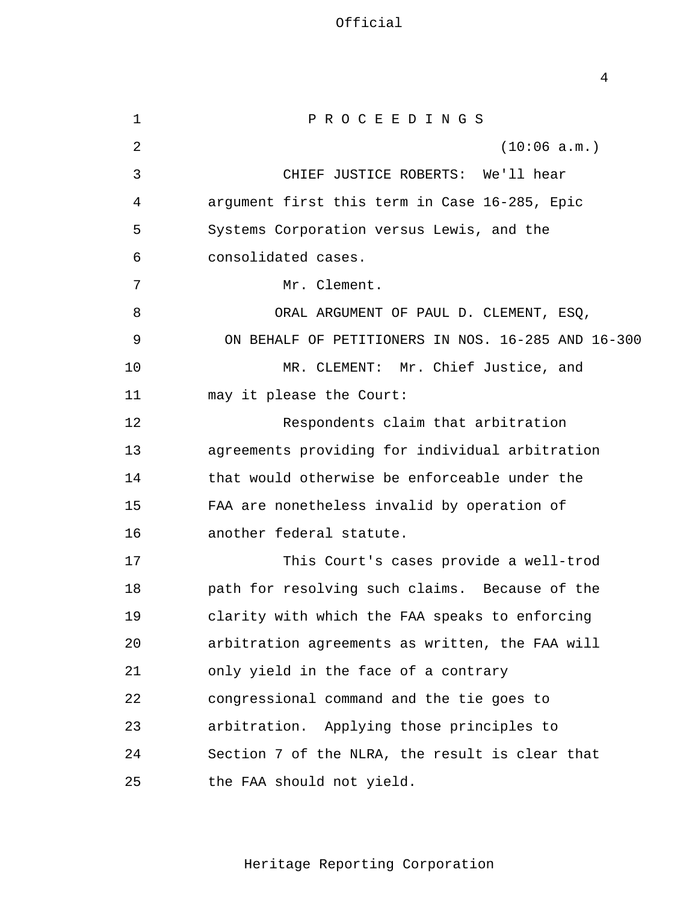Official

4

| $\mathbf 1$ | PROCEEDINGS                                        |
|-------------|----------------------------------------------------|
| 2           | (10:06 a.m.)                                       |
| 3           | CHIEF JUSTICE ROBERTS: We'll hear                  |
| 4           | argument first this term in Case 16-285, Epic      |
| 5           | Systems Corporation versus Lewis, and the          |
| 6           | consolidated cases.                                |
| 7           | Mr. Clement.                                       |
| 8           | ORAL ARGUMENT OF PAUL D. CLEMENT, ESQ,             |
| 9           | ON BEHALF OF PETITIONERS IN NOS. 16-285 AND 16-300 |
| 10          | MR. CLEMENT: Mr. Chief Justice, and                |
| 11          | may it please the Court:                           |
| 12          | Respondents claim that arbitration                 |
| 13          | agreements providing for individual arbitration    |
| 14          | that would otherwise be enforceable under the      |
| 15          | FAA are nonetheless invalid by operation of        |
| 16          | another federal statute.                           |
| 17          | This Court's cases provide a well-trod             |
| 18          | path for resolving such claims. Because of the     |
| 19          | clarity with which the FAA speaks to enforcing     |
| 20          | arbitration agreements as written, the FAA will    |
| 21          | only yield in the face of a contrary               |
| 22          | congressional command and the tie goes to          |
| 23          | arbitration. Applying those principles to          |
| 24          | Section 7 of the NLRA, the result is clear that    |
| 25          | the FAA should not yield.                          |

Heritage Reporting Corporation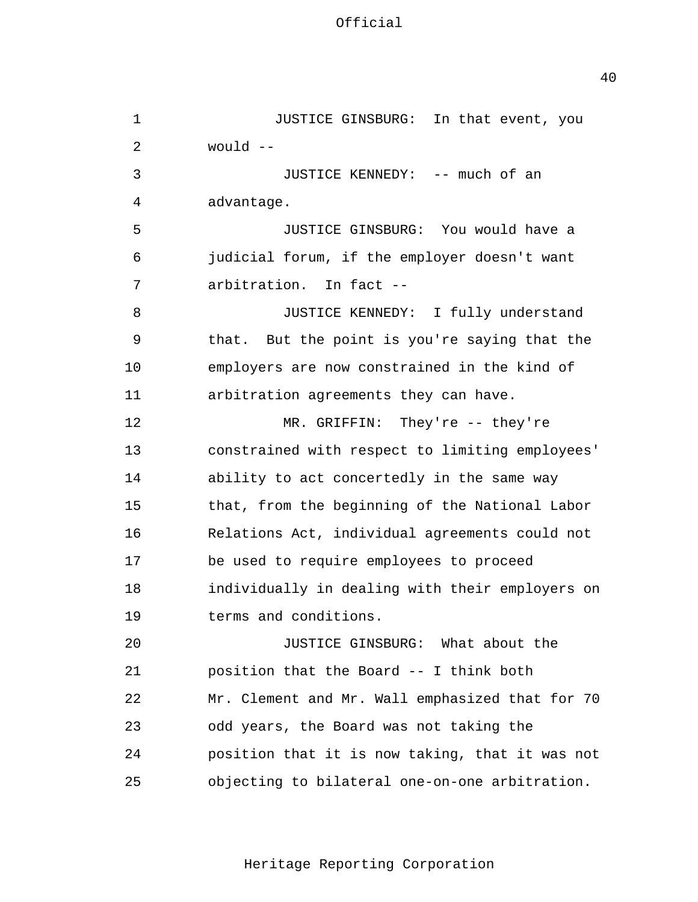40

| 1  | JUSTICE GINSBURG: In that event, you            |
|----|-------------------------------------------------|
| 2  | would --                                        |
| 3  | JUSTICE KENNEDY: -- much of an                  |
| 4  | advantage.                                      |
| 5  | JUSTICE GINSBURG: You would have a              |
| 6  | judicial forum, if the employer doesn't want    |
| 7  | arbitration. In fact --                         |
| 8  | JUSTICE KENNEDY: I fully understand             |
| 9  | that. But the point is you're saying that the   |
| 10 | employers are now constrained in the kind of    |
| 11 | arbitration agreements they can have.           |
| 12 | MR. GRIFFIN: They're -- they're                 |
| 13 | constrained with respect to limiting employees' |
| 14 | ability to act concertedly in the same way      |
| 15 | that, from the beginning of the National Labor  |
| 16 | Relations Act, individual agreements could not  |
| 17 | be used to require employees to proceed         |
| 18 | individually in dealing with their employers on |
| 19 | terms and conditions.                           |
| 20 | JUSTICE GINSBURG: What about the                |
| 21 | position that the Board -- I think both         |
| 22 | Mr. Clement and Mr. Wall emphasized that for 70 |
| 23 | odd years, the Board was not taking the         |
| 24 | position that it is now taking, that it was not |
| 25 | objecting to bilateral one-on-one arbitration.  |

Heritage Reporting Corporation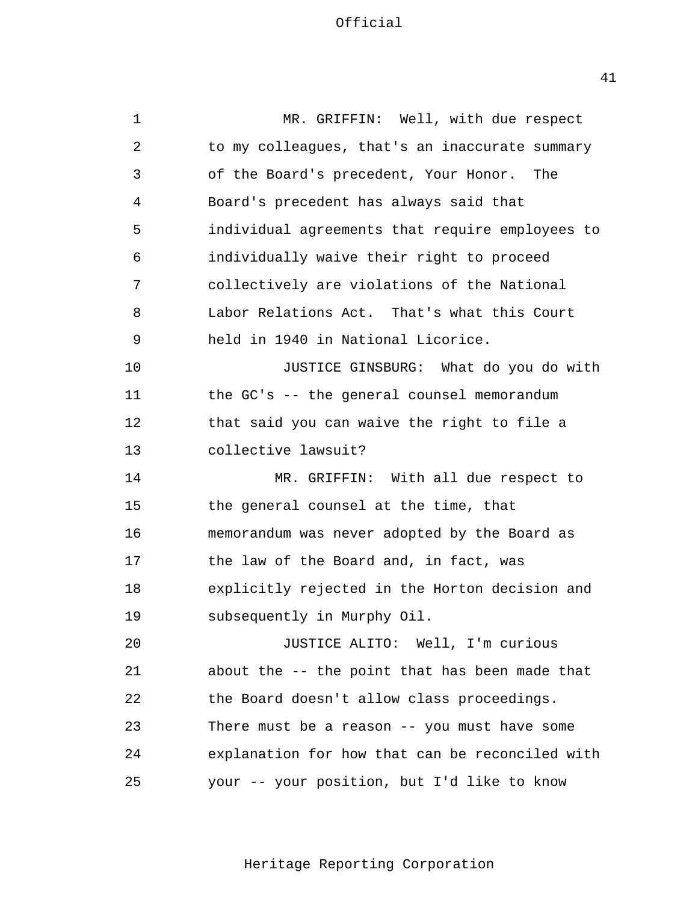1 2 3 4 5 6 7 8 9 10 11 12 13 14 15 16 17 18 19  $2.0$ 21 22 23  $2.4$ 25 MR. GRIFFIN: Well, with due respect to my colleagues, that's an inaccurate summary of the Board's precedent, Your Honor. The Board's precedent has always said that individual agreements that require employees to individually waive their right to proceed collectively are violations of the National Labor Relations Act. That's what this Court held in 1940 in National Licorice. JUSTICE GINSBURG: What do you do with the GC's -- the general counsel memorandum that said you can waive the right to file a collective lawsuit? MR. GRIFFIN: With all due respect to the general counsel at the time, that memorandum was never adopted by the Board as the law of the Board and, in fact, was explicitly rejected in the Horton decision and subsequently in Murphy Oil. JUSTICE ALITO: Well, I'm curious about the -- the point that has been made that the Board doesn't allow class proceedings. There must be a reason -- you must have some explanation for how that can be reconciled with your -- your position, but I'd like to know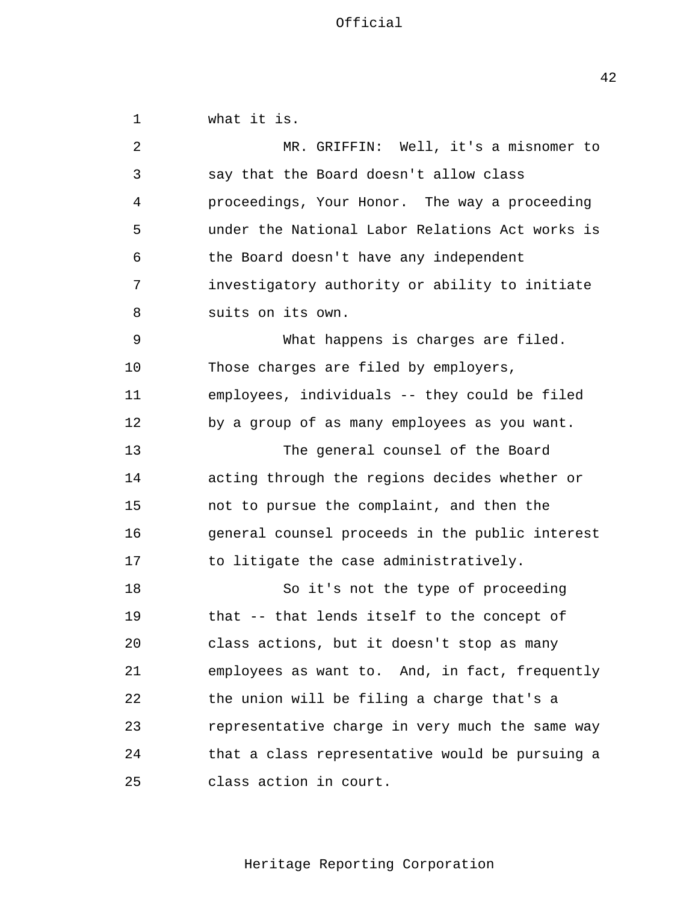1 2 3 4 5 6 7 8 9 10 11 12 13 14 15 16 17 18 19  $2.0$ 21 22 23  $2.4$ 25 what it is. MR. GRIFFIN: Well, it's a misnomer to say that the Board doesn't allow class proceedings, Your Honor. The way a proceeding under the National Labor Relations Act works is the Board doesn't have any independent investigatory authority or ability to initiate suits on its own. What happens is charges are filed. Those charges are filed by employers, employees, individuals -- they could be filed by a group of as many employees as you want. The general counsel of the Board acting through the regions decides whether or not to pursue the complaint, and then the general counsel proceeds in the public interest to litigate the case administratively. So it's not the type of proceeding that -- that lends itself to the concept of class actions, but it doesn't stop as many employees as want to. And, in fact, frequently the union will be filing a charge that's a representative charge in very much the same way that a class representative would be pursuing a class action in court.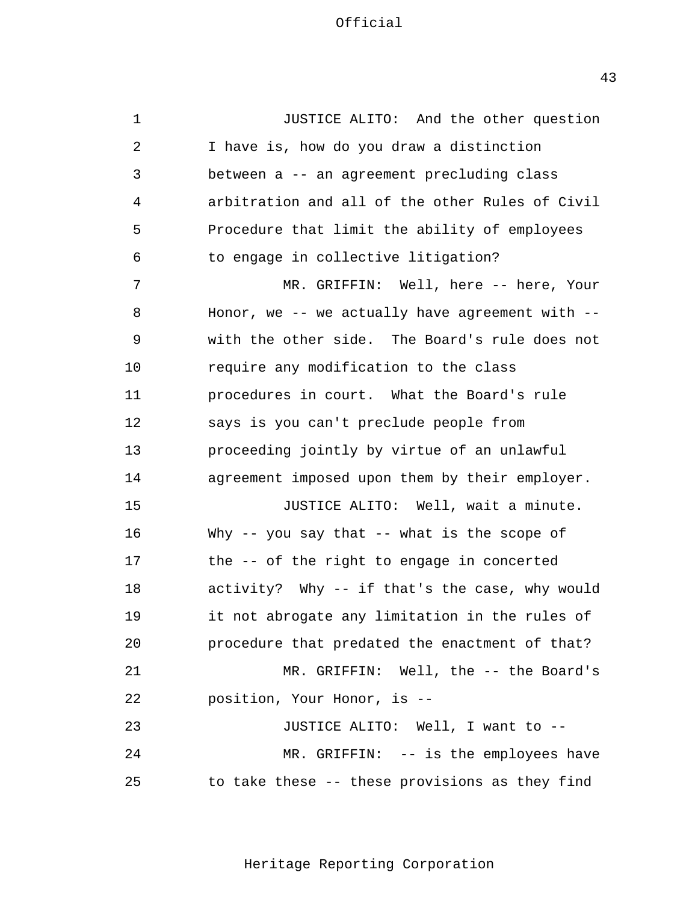1 2 3 4 5 6 7 8 9 10 11 12 13 14 15 16 17 18 19 20 21 22 23  $2.4$ 25 JUSTICE ALITO: And the other question I have is, how do you draw a distinction between a -- an agreement precluding class arbitration and all of the other Rules of Civil Procedure that limit the ability of employees to engage in collective litigation? MR. GRIFFIN: Well, here -- here, Your Honor, we  $--$  we actually have agreement with  $-$ with the other side. The Board's rule does not require any modification to the class procedures in court. What the Board's rule says is you can't preclude people from proceeding jointly by virtue of an unlawful agreement imposed upon them by their employer. JUSTICE ALITO: Well, wait a minute. Why -- you say that -- what is the scope of the -- of the right to engage in concerted activity? Why -- if that's the case, why would it not abrogate any limitation in the rules of procedure that predated the enactment of that? MR. GRIFFIN: Well, the -- the Board's position, Your Honor, is - JUSTICE ALITO: Well, I want to - MR. GRIFFIN: -- is the employees have to take these -- these provisions as they find

Heritage Reporting Corporation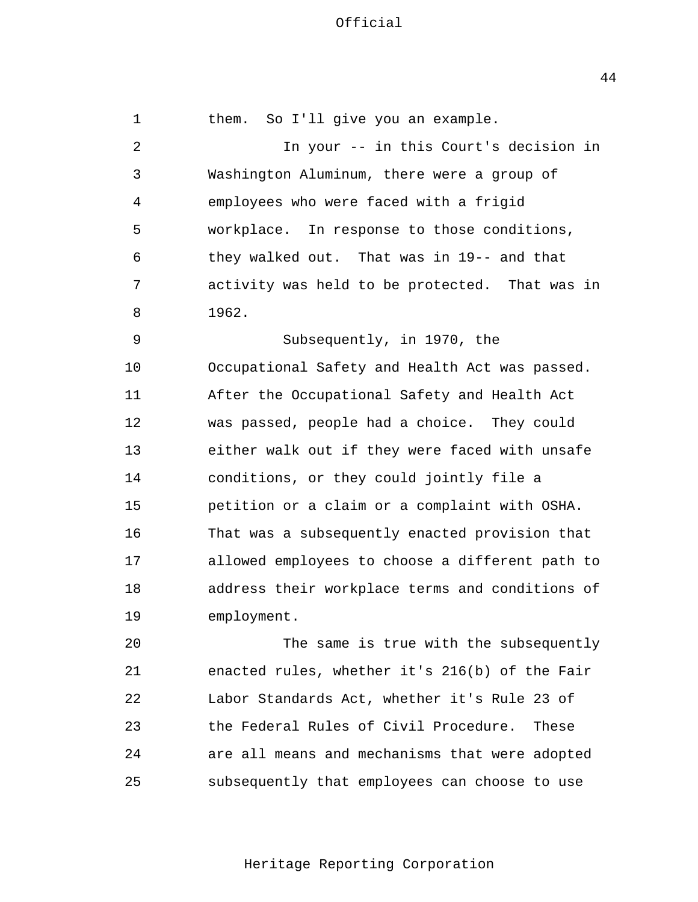1 2 3 4 5 6 7 8 9 10 11 12 13 14 15 16 17 18 19 20 21 22 23 them. So I'll give you an example. In your -- in this Court's decision in Washington Aluminum, there were a group of employees who were faced with a frigid workplace. In response to those conditions, they walked out. That was in 19-- and that activity was held to be protected. That was in 1962. Subsequently, in 1970, the Occupational Safety and Health Act was passed. After the Occupational Safety and Health Act was passed, people had a choice. They could either walk out if they were faced with unsafe conditions, or they could jointly file a petition or a claim or a complaint with OSHA. That was a subsequently enacted provision that allowed employees to choose a different path to address their workplace terms and conditions of employment. The same is true with the subsequently enacted rules, whether it's 216(b) of the Fair Labor Standards Act, whether it's Rule 23 of the Federal Rules of Civil Procedure. These

 $2.4$ 25 are all means and mechanisms that were adopted subsequently that employees can choose to use

Heritage Reporting Corporation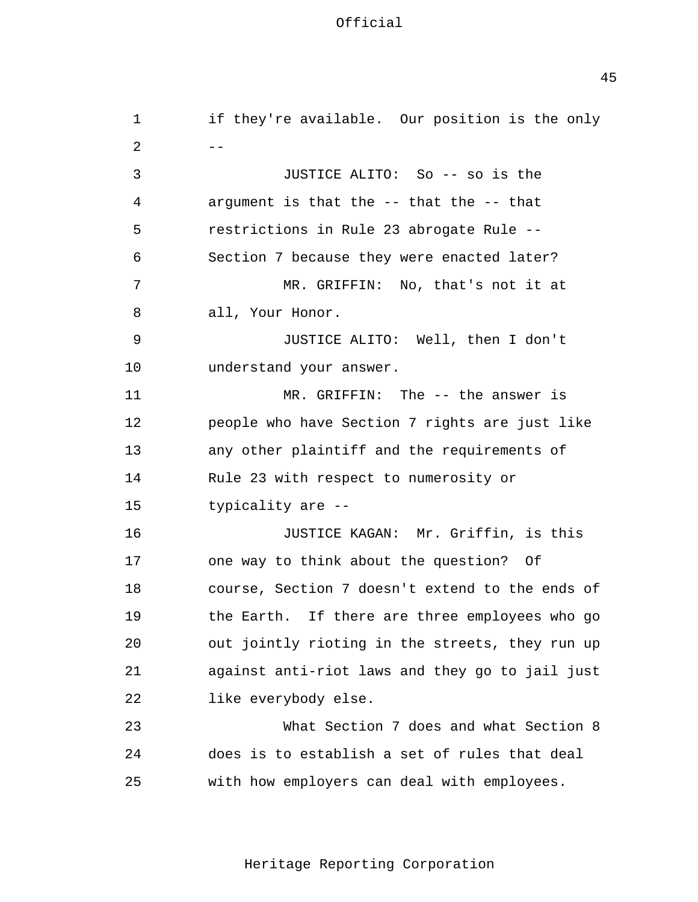| $\mathbf{1}$   | if they're available. Our position is the only  |
|----------------|-------------------------------------------------|
| $\overline{a}$ |                                                 |
| 3              | JUSTICE ALITO: So -- so is the                  |
| 4              | argument is that the -- that the -- that        |
| 5              | restrictions in Rule 23 abrogate Rule --        |
| 6              | Section 7 because they were enacted later?      |
| 7              | MR. GRIFFIN: No, that's not it at               |
| 8              | all, Your Honor.                                |
| 9              | JUSTICE ALITO: Well, then I don't               |
| 10             | understand your answer.                         |
| 11             | MR. GRIFFIN: The $-$ - the answer is            |
| 12             | people who have Section 7 rights are just like  |
| 13             | any other plaintiff and the requirements of     |
| 14             | Rule 23 with respect to numerosity or           |
| 15             | typicality are --                               |
| 16             | JUSTICE KAGAN: Mr. Griffin, is this             |
| 17             | one way to think about the question? Of         |
| 18             | course, Section 7 doesn't extend to the ends of |
| 19             | the Earth. If there are three employees who go  |
| 20             | out jointly rioting in the streets, they run up |
| 21             | against anti-riot laws and they go to jail just |
| 22             | like everybody else.                            |
| 23             | What Section 7 does and what Section 8          |
| 24             | does is to establish a set of rules that deal   |
| 25             | with how employers can deal with employees.     |

Heritage Reporting Corporation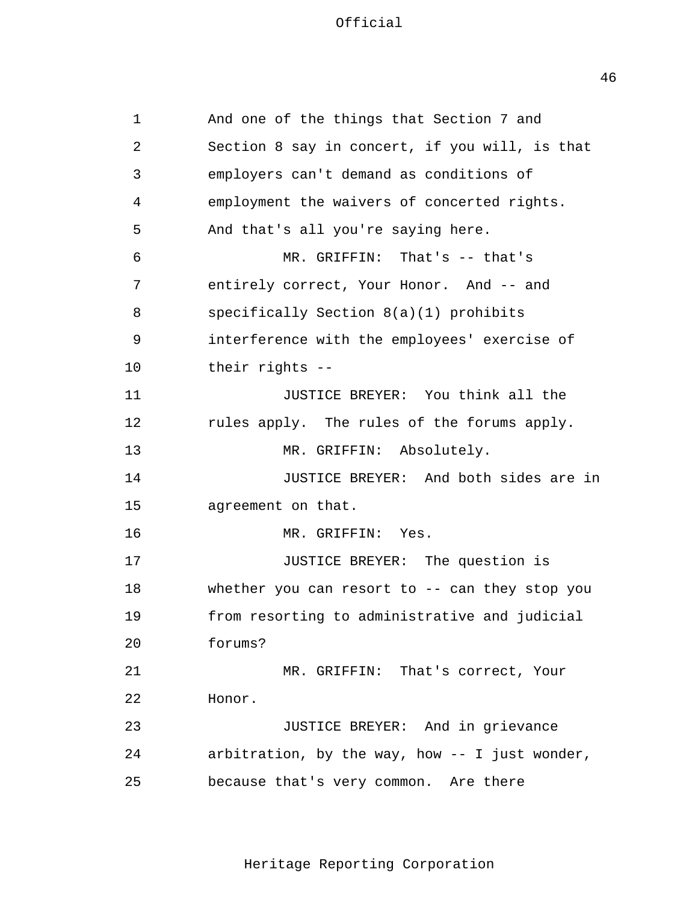1 2 3 4 5 6 7 8 9 10 11 12 13 14 15 16 17 18 19 20 21 22 23 24 25 And one of the things that Section 7 and Section 8 say in concert, if you will, is that employers can't demand as conditions of employment the waivers of concerted rights. And that's all you're saying here. MR. GRIFFIN: That's -- that's entirely correct, Your Honor. And -- and specifically Section 8(a)(1) prohibits interference with the employees' exercise of their rights - JUSTICE BREYER: You think all the rules apply. The rules of the forums apply. MR. GRIFFIN: Absolutely. JUSTICE BREYER: And both sides are in agreement on that. MR. GRIFFIN: Yes. JUSTICE BREYER: The question is whether you can resort to -- can they stop you from resorting to administrative and judicial forums? MR. GRIFFIN: That's correct, Your Honor. JUSTICE BREYER: And in grievance arbitration, by the way, how -- I just wonder, because that's very common. Are there

Heritage Reporting Corporation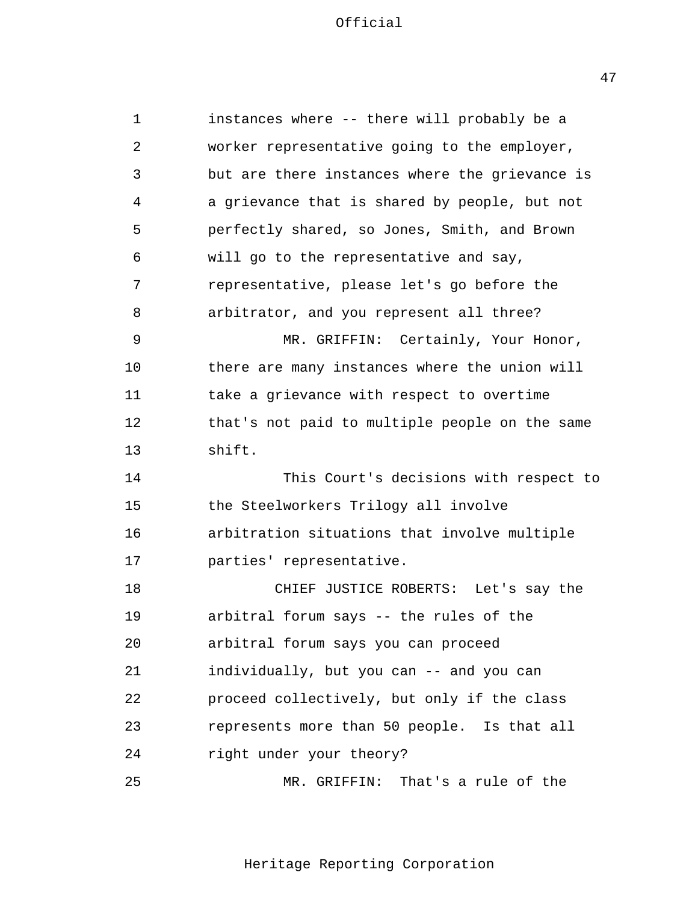1 2 3 4 5 6 7 8 9 10 11 12 13 14 15 16 17 18 19 20 21 22 23  $2.4$ 25 instances where -- there will probably be a worker representative going to the employer, but are there instances where the grievance is a grievance that is shared by people, but not perfectly shared, so Jones, Smith, and Brown will go to the representative and say, representative, please let's go before the arbitrator, and you represent all three? MR. GRIFFIN: Certainly, Your Honor, there are many instances where the union will take a grievance with respect to overtime that's not paid to multiple people on the same shift. This Court's decisions with respect to the Steelworkers Trilogy all involve arbitration situations that involve multiple parties' representative. CHIEF JUSTICE ROBERTS: Let's say the arbitral forum says -- the rules of the arbitral forum says you can proceed individually, but you can -- and you can proceed collectively, but only if the class represents more than 50 people. Is that all right under your theory? MR. GRIFFIN: That's a rule of the

Heritage Reporting Corporation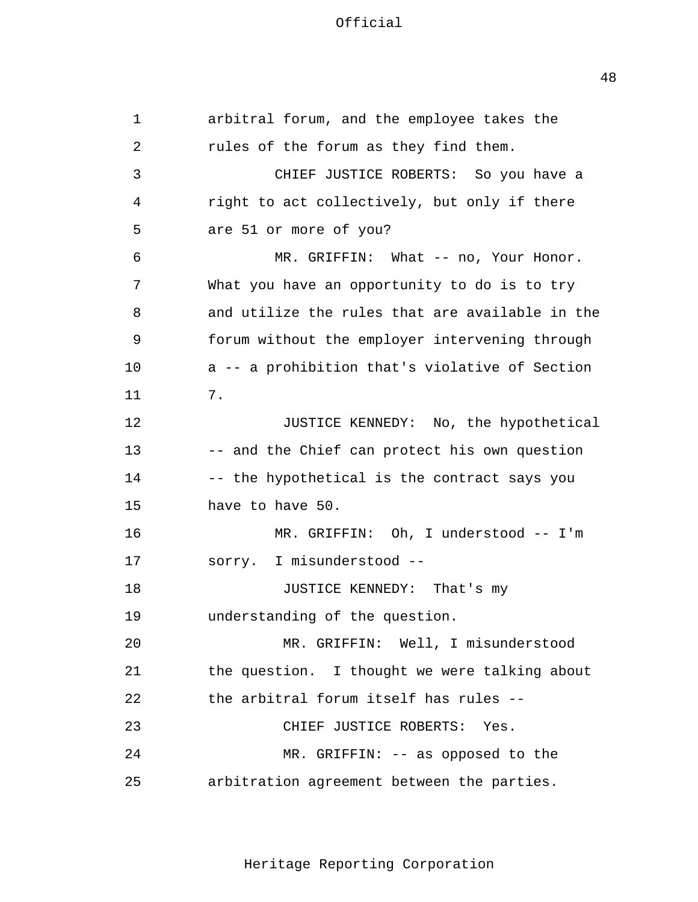1 2 3 4 5 6 7 8 9 10 11 12 13 14 15 16 17 18 19  $2.0$ 21 22 23  $2.4$ 25 arbitral forum, and the employee takes the rules of the forum as they find them. CHIEF JUSTICE ROBERTS: So you have a right to act collectively, but only if there are 51 or more of you? MR. GRIFFIN: What -- no, Your Honor. What you have an opportunity to do is to try and utilize the rules that are available in the forum without the employer intervening through a -- a prohibition that's violative of Section 7. JUSTICE KENNEDY: No, the hypothetical -- and the Chief can protect his own question -- the hypothetical is the contract says you have to have 50. MR. GRIFFIN: Oh, I understood -- I'm sorry. I misunderstood --JUSTICE KENNEDY: That's my understanding of the question. MR. GRIFFIN: Well, I misunderstood the question. I thought we were talking about the arbitral forum itself has rules - CHIEF JUSTICE ROBERTS: Yes. MR. GRIFFIN: -- as opposed to the arbitration agreement between the parties.

Heritage Reporting Corporation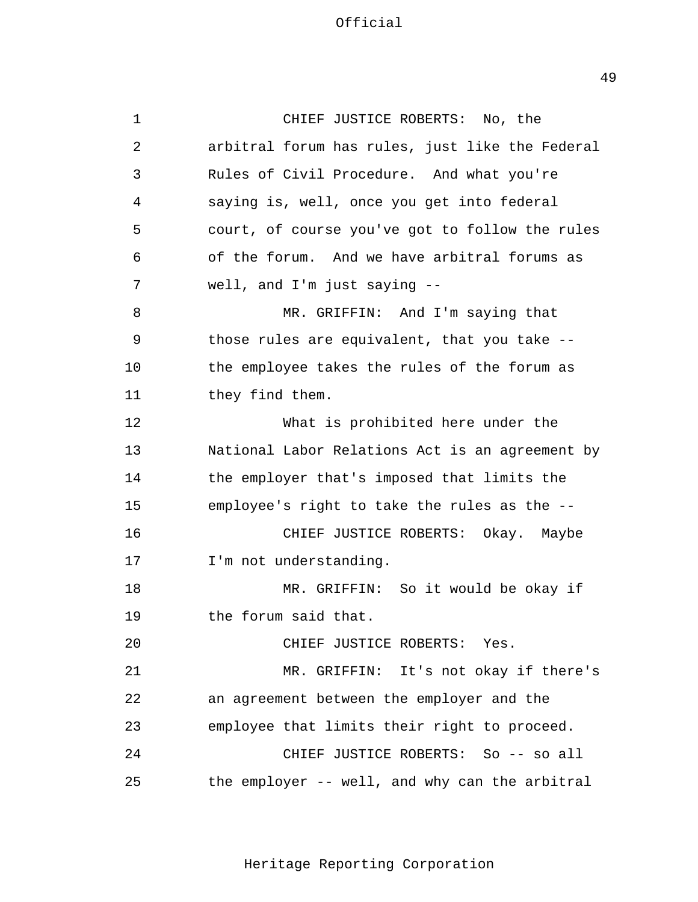1 2 3 4 5 6 7 8 9 10 11 12 13 14 15 16 17 18 19 20 21 22 23  $2.4$ 25 CHIEF JUSTICE ROBERTS: No, the arbitral forum has rules, just like the Federal Rules of Civil Procedure. And what you're saying is, well, once you get into federal court, of course you've got to follow the rules of the forum. And we have arbitral forums as well, and I'm just saying - MR. GRIFFIN: And I'm saying that those rules are equivalent, that you take the employee takes the rules of the forum as they find them. What is prohibited here under the National Labor Relations Act is an agreement by the employer that's imposed that limits the employee's right to take the rules as the - CHIEF JUSTICE ROBERTS: Okay. Maybe I'm not understanding. MR. GRIFFIN: So it would be okay if the forum said that. CHIEF JUSTICE ROBERTS: Yes. MR. GRIFFIN: It's not okay if there's an agreement between the employer and the employee that limits their right to proceed. CHIEF JUSTICE ROBERTS: So -- so all the employer -- well, and why can the arbitral

Heritage Reporting Corporation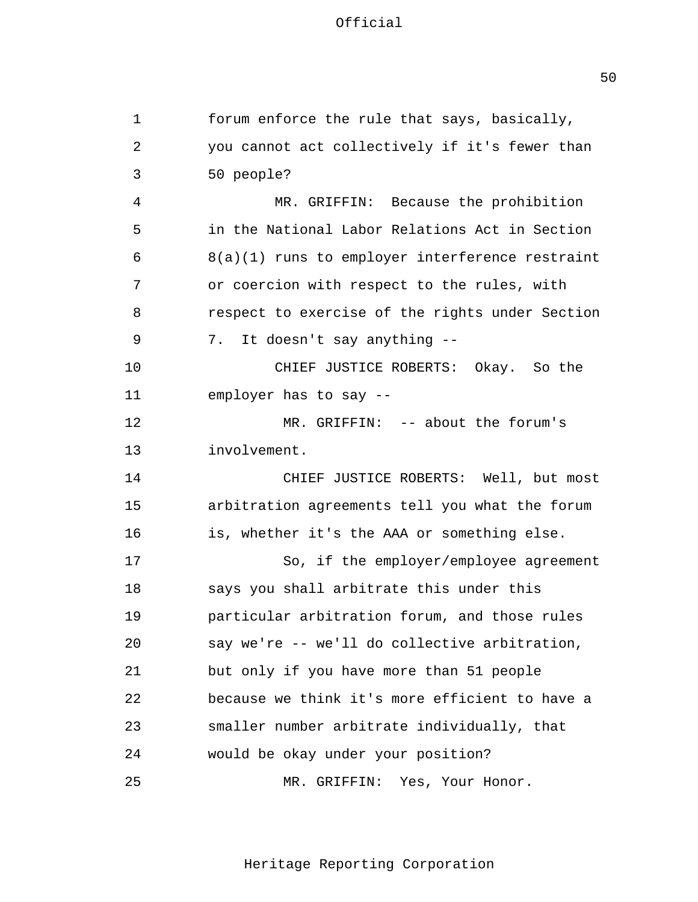1 2 3 4 5 6 7 8 9 10 11 12 13 14 15 16 17 18 19  $2.0$ 21 22 23  $2.4$ 25 forum enforce the rule that says, basically, you cannot act collectively if it's fewer than 50 people? MR. GRIFFIN: Because the prohibition in the National Labor Relations Act in Section 8(a)(1) runs to employer interference restraint or coercion with respect to the rules, with respect to exercise of the rights under Section 7. It doesn't say anything --CHIEF JUSTICE ROBERTS: Okay. So the employer has to say - MR. GRIFFIN: -- about the forum's involvement. CHIEF JUSTICE ROBERTS: Well, but most arbitration agreements tell you what the forum is, whether it's the AAA or something else. So, if the employer/employee agreement says you shall arbitrate this under this particular arbitration forum, and those rules say we're -- we'll do collective arbitration, but only if you have more than 51 people because we think it's more efficient to have a smaller number arbitrate individually, that would be okay under your position? MR. GRIFFIN: Yes, Your Honor.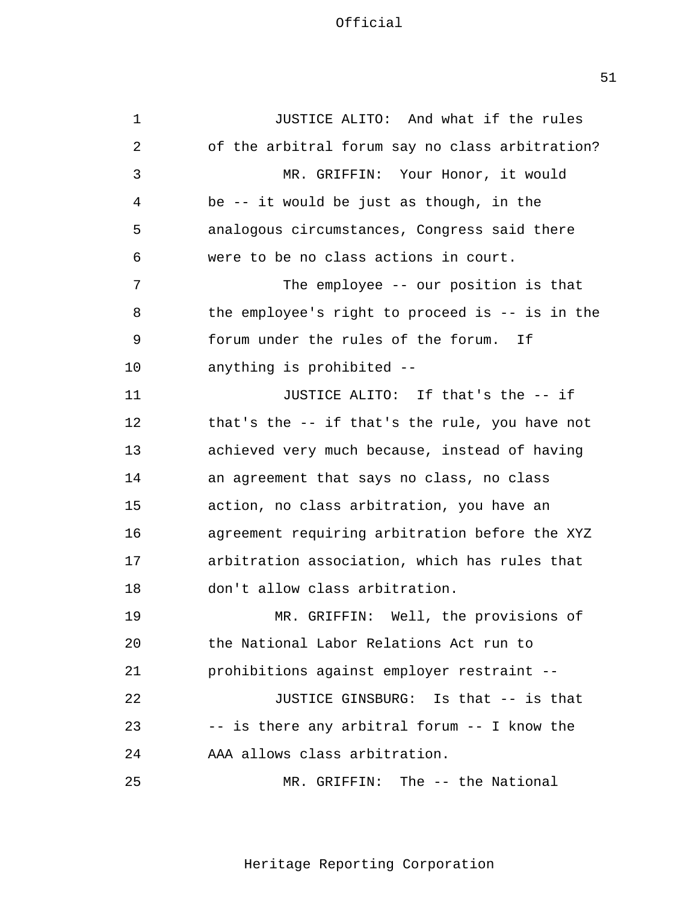1 2 3 4 5 6 7 8 9 10 11 12 13 14 15 16 17 18 19  $2.0$ 21 22 23  $2.4$ 25 JUSTICE ALITO: And what if the rules of the arbitral forum say no class arbitration? MR. GRIFFIN: Your Honor, it would be -- it would be just as though, in the analogous circumstances, Congress said there were to be no class actions in court. The employee -- our position is that the employee's right to proceed is -- is in the forum under the rules of the forum. If anything is prohibited - JUSTICE ALITO: If that's the -- if that's the -- if that's the rule, you have not achieved very much because, instead of having an agreement that says no class, no class action, no class arbitration, you have an agreement requiring arbitration before the XYZ arbitration association, which has rules that don't allow class arbitration. MR. GRIFFIN: Well, the provisions of the National Labor Relations Act run to prohibitions against employer restraint - JUSTICE GINSBURG: Is that -- is that -- is there any arbitral forum -- I know the AAA allows class arbitration. MR. GRIFFIN: The -- the National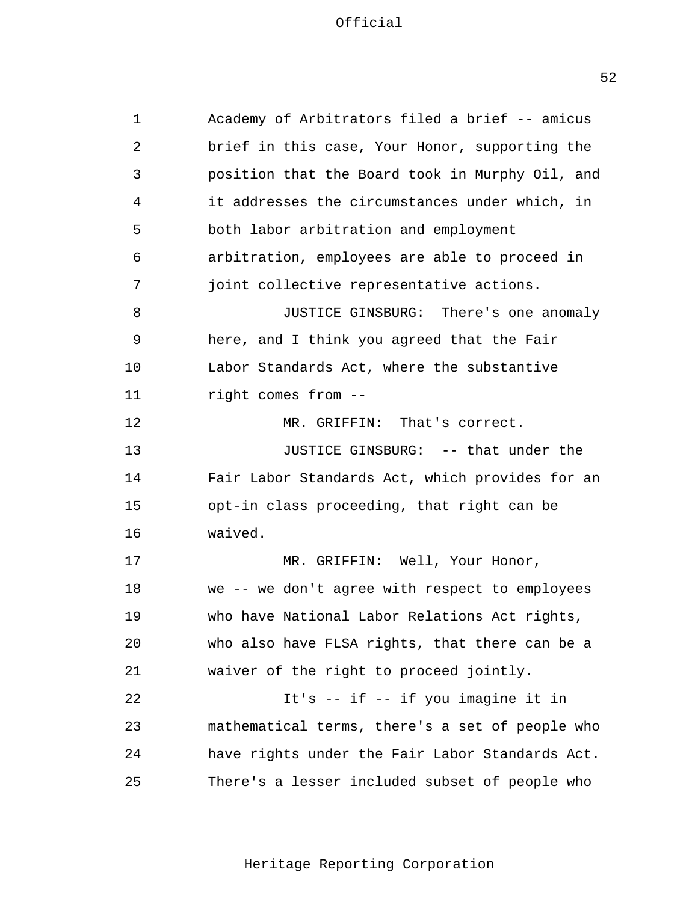opt-in class proceeding, that right can be 1 2 3 4 5 6 7 8 9 10 11 12 13 14 15 16 17 18 19 20 21 22 23 24 25 Academy of Arbitrators filed a brief -- amicus brief in this case, Your Honor, supporting the position that the Board took in Murphy Oil, and it addresses the circumstances under which, in both labor arbitration and employment arbitration, employees are able to proceed in joint collective representative actions. JUSTICE GINSBURG: There's one anomaly here, and I think you agreed that the Fair Labor Standards Act, where the substantive right comes from - MR. GRIFFIN: That's correct. JUSTICE GINSBURG: -- that under the Fair Labor Standards Act, which provides for an waived. MR. GRIFFIN: Well, Your Honor, we -- we don't agree with respect to employees who have National Labor Relations Act rights, who also have FLSA rights, that there can be a waiver of the right to proceed jointly. It's -- if -- if you imagine it in mathematical terms, there's a set of people who have rights under the Fair Labor Standards Act. There's a lesser included subset of people who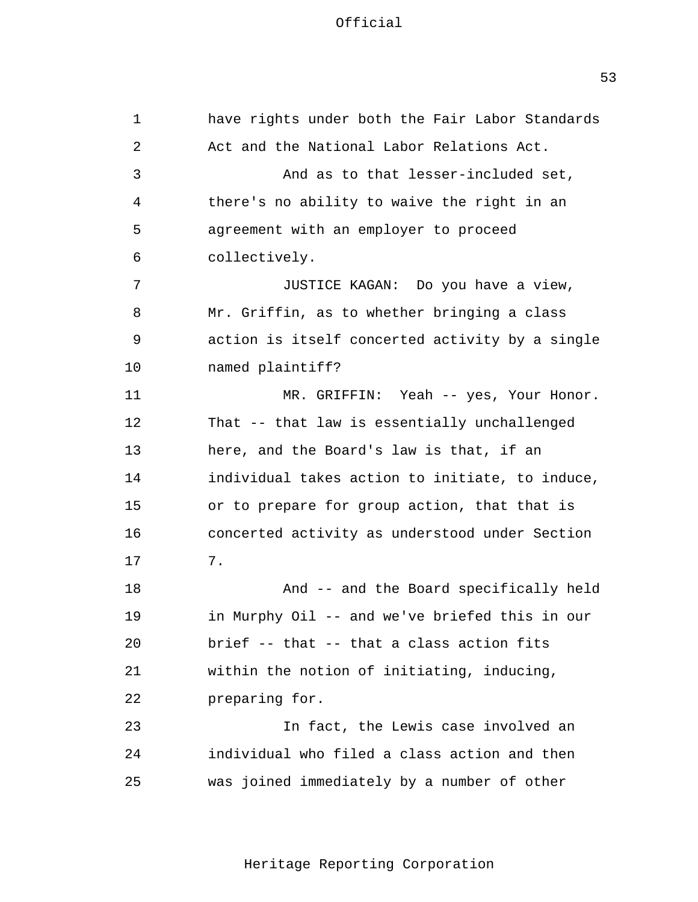1 2 3 4 5 6 7 8 9 10 11 12 13 14 15 16 17 18 19 20 21 22 23  $2.4$ 25 have rights under both the Fair Labor Standards Act and the National Labor Relations Act. And as to that lesser-included set, there's no ability to waive the right in an agreement with an employer to proceed collectively. JUSTICE KAGAN: Do you have a view, Mr. Griffin, as to whether bringing a class action is itself concerted activity by a single named plaintiff? MR. GRIFFIN: Yeah -- yes, Your Honor. That -- that law is essentially unchallenged here, and the Board's law is that, if an individual takes action to initiate, to induce, or to prepare for group action, that that is concerted activity as understood under Section 7. And -- and the Board specifically held in Murphy Oil -- and we've briefed this in our brief -- that -- that a class action fits within the notion of initiating, inducing, preparing for. In fact, the Lewis case involved an individual who filed a class action and then was joined immediately by a number of other

Heritage Reporting Corporation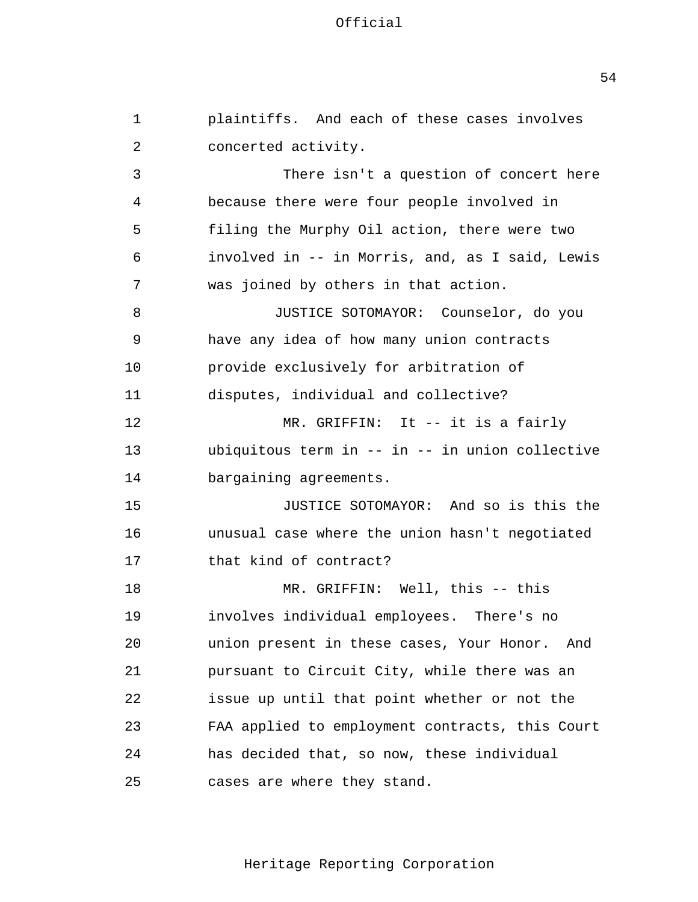1 2 3 4 5 6 7 8 9 10 11 12 13 14 15 16 17 18 19 20 21 22 23  $2.4$ 25 plaintiffs. And each of these cases involves concerted activity. There isn't a question of concert here because there were four people involved in filing the Murphy Oil action, there were two involved in -- in Morris, and, as I said, Lewis was joined by others in that action. JUSTICE SOTOMAYOR: Counselor, do you have any idea of how many union contracts provide exclusively for arbitration of disputes, individual and collective? MR. GRIFFIN: It -- it is a fairly ubiquitous term in -- in -- in union collective bargaining agreements. JUSTICE SOTOMAYOR: And so is this the unusual case where the union hasn't negotiated that kind of contract? MR. GRIFFIN: Well, this -- this involves individual employees. There's no union present in these cases, Your Honor. And pursuant to Circuit City, while there was an issue up until that point whether or not the FAA applied to employment contracts, this Court has decided that, so now, these individual cases are where they stand.

Heritage Reporting Corporation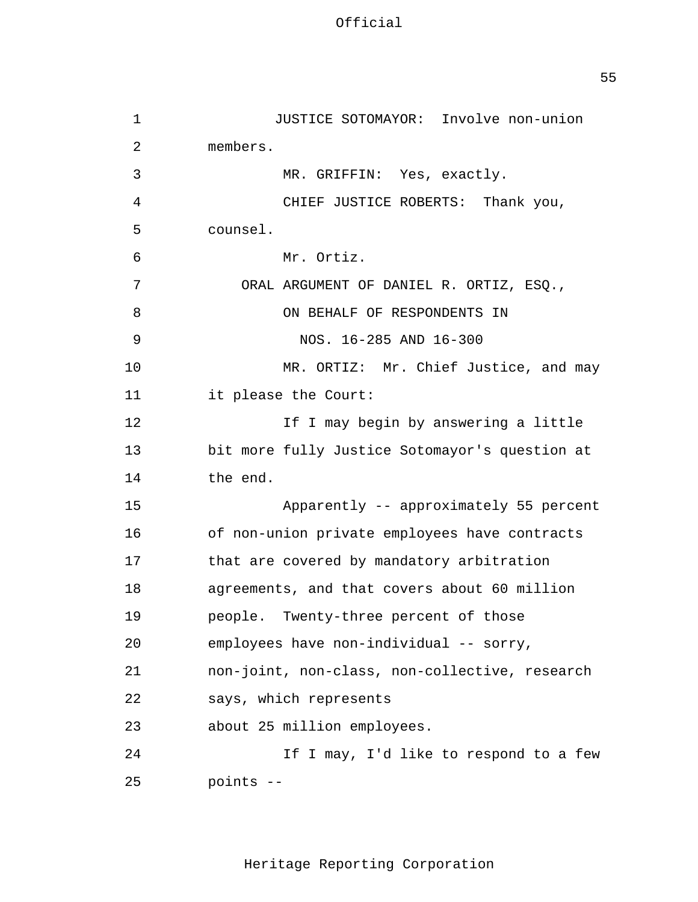1 2 3 4 5 6 7 8 9 10 11 12 13 14 15 16 17 18 19 20 21 22 23  $2.4$ 25 JUSTICE SOTOMAYOR: Involve non-union members. MR. GRIFFIN: Yes, exactly. CHIEF JUSTICE ROBERTS: Thank you, counsel. Mr. Ortiz. ORAL ARGUMENT OF DANIEL R. ORTIZ, ESQ., ON BEHALF OF RESPONDENTS IN NOS. 16-285 AND 16-300 MR. ORTIZ: Mr. Chief Justice, and may it please the Court: If I may begin by answering a little bit more fully Justice Sotomayor's question at the end. Apparently -- approximately 55 percent of non-union private employees have contracts that are covered by mandatory arbitration agreements, and that covers about 60 million people. Twenty-three percent of those employees have non-individual -- sorry, non-joint, non-class, non-collective, research says, which represents about 25 million employees. If I may, I'd like to respond to a few points -

Heritage Reporting Corporation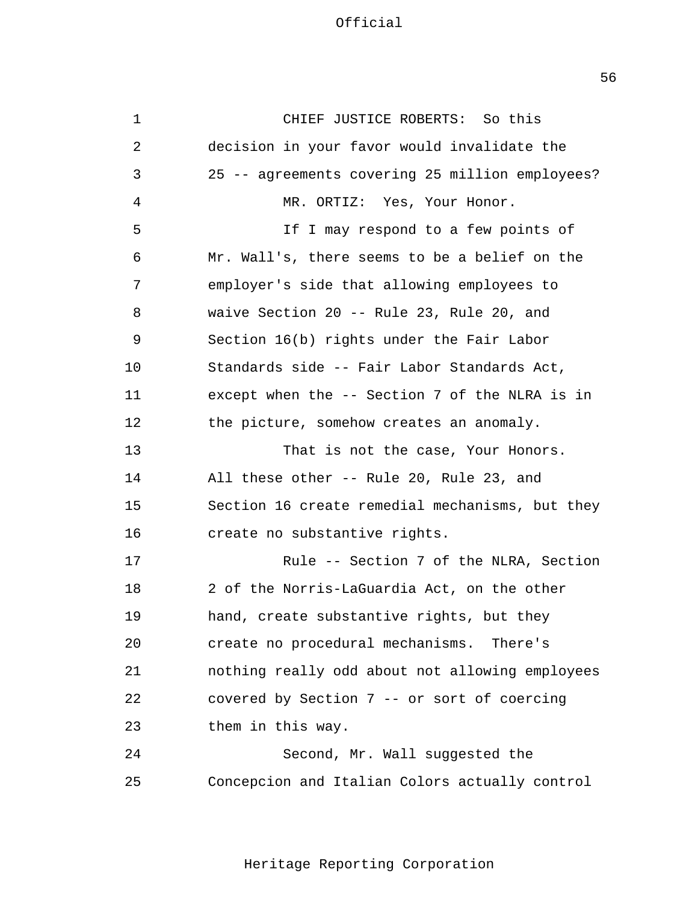create no procedural mechanisms. There's 1 2 3 4 5 6 7 8 9 10 11 12 13 14 15 16 17 18 19 20 21 22 23  $2.4$ 25 CHIEF JUSTICE ROBERTS: So this decision in your favor would invalidate the 25 -- agreements covering 25 million employees? MR. ORTIZ: Yes, Your Honor. If I may respond to a few points of Mr. Wall's, there seems to be a belief on the employer's side that allowing employees to waive Section 20 -- Rule 23, Rule 20, and Section 16(b) rights under the Fair Labor Standards side -- Fair Labor Standards Act, except when the -- Section 7 of the NLRA is in the picture, somehow creates an anomaly. That is not the case, Your Honors. All these other -- Rule 20, Rule 23, and Section 16 create remedial mechanisms, but they create no substantive rights. Rule -- Section 7 of the NLRA, Section 2 of the Norris-LaGuardia Act, on the other hand, create substantive rights, but they nothing really odd about not allowing employees covered by Section 7 -- or sort of coercing them in this way. Second, Mr. Wall suggested the Concepcion and Italian Colors actually control

Heritage Reporting Corporation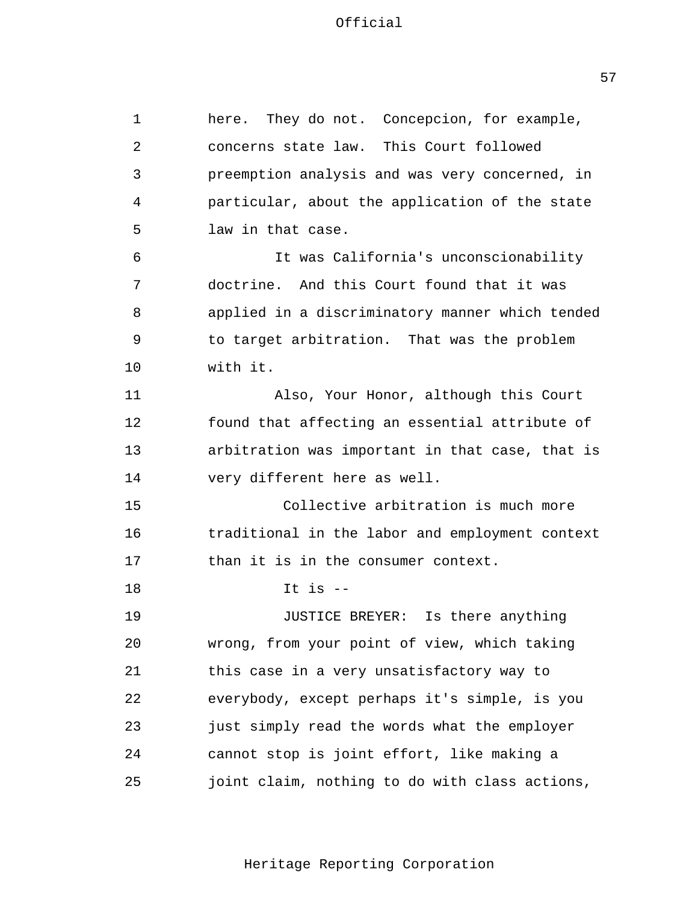1 2 3 4 5 6 7 8 9 10 11 12 13 14 15 16 17 18 19 20 21 22 23  $2.4$ 25 here. They do not. Concepcion, for example, concerns state law. This Court followed preemption analysis and was very concerned, in particular, about the application of the state law in that case. It was California's unconscionability doctrine. And this Court found that it was applied in a discriminatory manner which tended to target arbitration. That was the problem with it. Also, Your Honor, although this Court found that affecting an essential attribute of arbitration was important in that case, that is very different here as well. Collective arbitration is much more traditional in the labor and employment context than it is in the consumer context. It is  $-$ JUSTICE BREYER: Is there anything wrong, from your point of view, which taking this case in a very unsatisfactory way to everybody, except perhaps it's simple, is you just simply read the words what the employer cannot stop is joint effort, like making a joint claim, nothing to do with class actions,

Heritage Reporting Corporation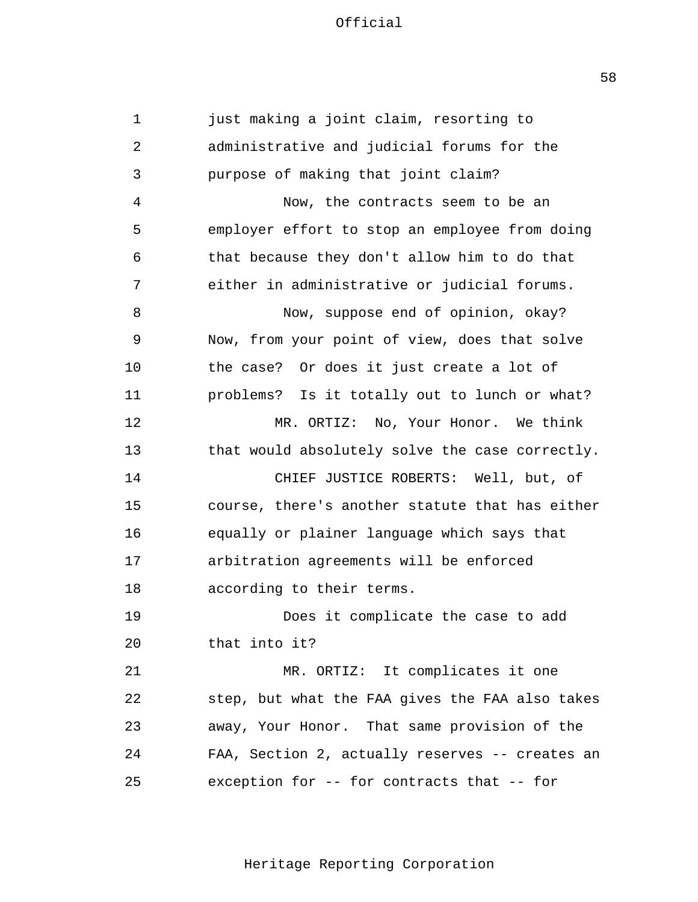1 2 3 4 5 6 7 8 9 10 11 12 13 14 15 16 17 18 19 20 21 22 23  $2.4$ 25 just making a joint claim, resorting to administrative and judicial forums for the purpose of making that joint claim? Now, the contracts seem to be an employer effort to stop an employee from doing that because they don't allow him to do that either in administrative or judicial forums. Now, suppose end of opinion, okay? Now, from your point of view, does that solve the case? Or does it just create a lot of problems? Is it totally out to lunch or what? MR. ORTIZ: No, Your Honor. We think that would absolutely solve the case correctly. CHIEF JUSTICE ROBERTS: Well, but, of course, there's another statute that has either equally or plainer language which says that arbitration agreements will be enforced according to their terms. Does it complicate the case to add that into it? MR. ORTIZ: It complicates it one step, but what the FAA gives the FAA also takes away, Your Honor. That same provision of the FAA, Section 2, actually reserves -- creates an exception for -- for contracts that -- for

Heritage Reporting Corporation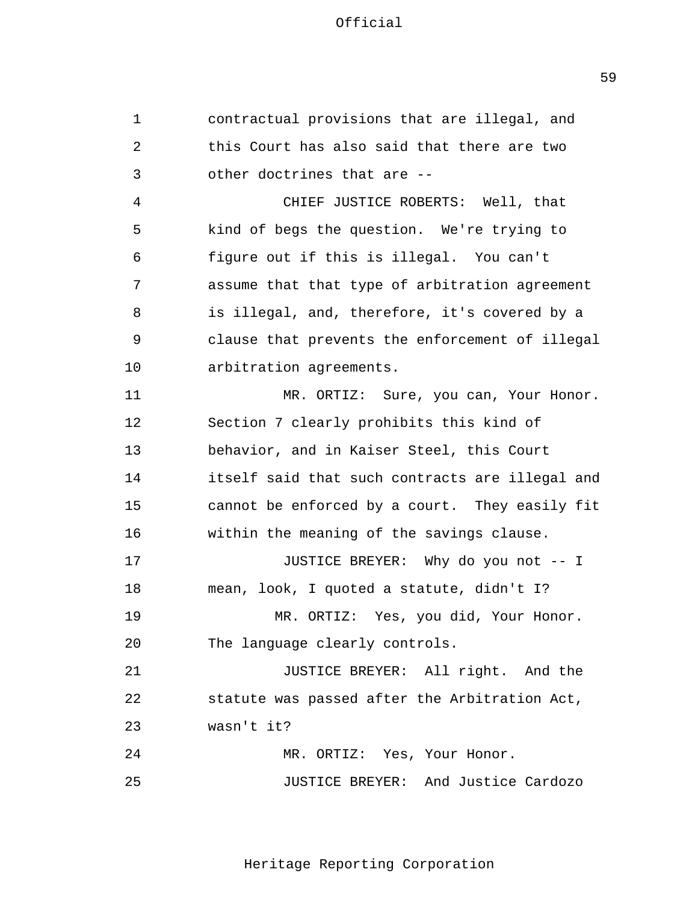1 2 3 4 5 6 7 8 9 10 11 12 13 14 15 16 17 18 19 20 21 22 23  $2.4$ 25 contractual provisions that are illegal, and this Court has also said that there are two other doctrines that are - CHIEF JUSTICE ROBERTS: Well, that kind of begs the question. We're trying to figure out if this is illegal. You can't assume that that type of arbitration agreement is illegal, and, therefore, it's covered by a clause that prevents the enforcement of illegal arbitration agreements. MR. ORTIZ: Sure, you can, Your Honor. Section 7 clearly prohibits this kind of behavior, and in Kaiser Steel, this Court itself said that such contracts are illegal and cannot be enforced by a court. They easily fit within the meaning of the savings clause. JUSTICE BREYER: Why do you not -- I mean, look, I quoted a statute, didn't I? MR. ORTIZ: Yes, you did, Your Honor. The language clearly controls. JUSTICE BREYER: All right. And the statute was passed after the Arbitration Act, wasn't it? MR. ORTIZ: Yes, Your Honor. JUSTICE BREYER: And Justice Cardozo

Heritage Reporting Corporation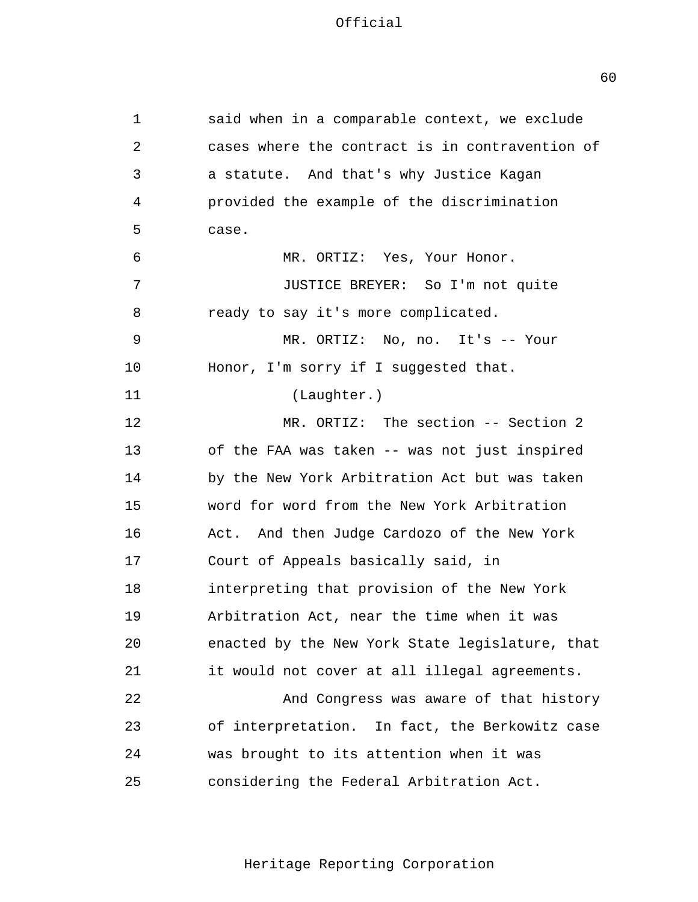| 1  | said when in a comparable context, we exclude   |
|----|-------------------------------------------------|
| 2  | cases where the contract is in contravention of |
| 3  | a statute. And that's why Justice Kagan         |
| 4  | provided the example of the discrimination      |
| 5  | case.                                           |
| 6  | MR. ORTIZ: Yes, Your Honor.                     |
| 7  | JUSTICE BREYER: So I'm not quite                |
| 8  | ready to say it's more complicated.             |
| 9  | MR. ORTIZ: No, no. It's -- Your                 |
| 10 | Honor, I'm sorry if I suggested that.           |
| 11 | (Laughter.)                                     |
| 12 | MR. ORTIZ: The section -- Section 2             |
| 13 | of the FAA was taken -- was not just inspired   |
| 14 | by the New York Arbitration Act but was taken   |
| 15 | word for word from the New York Arbitration     |
| 16 | Act. And then Judge Cardozo of the New York     |
| 17 | Court of Appeals basically said, in             |
| 18 | interpreting that provision of the New York     |
| 19 | Arbitration Act, near the time when it was      |
| 20 | enacted by the New York State legislature, that |
| 21 | it would not cover at all illegal agreements.   |
| 22 | And Congress was aware of that history          |
| 23 | of interpretation. In fact, the Berkowitz case  |
| 24 | was brought to its attention when it was        |
| 25 | considering the Federal Arbitration Act.        |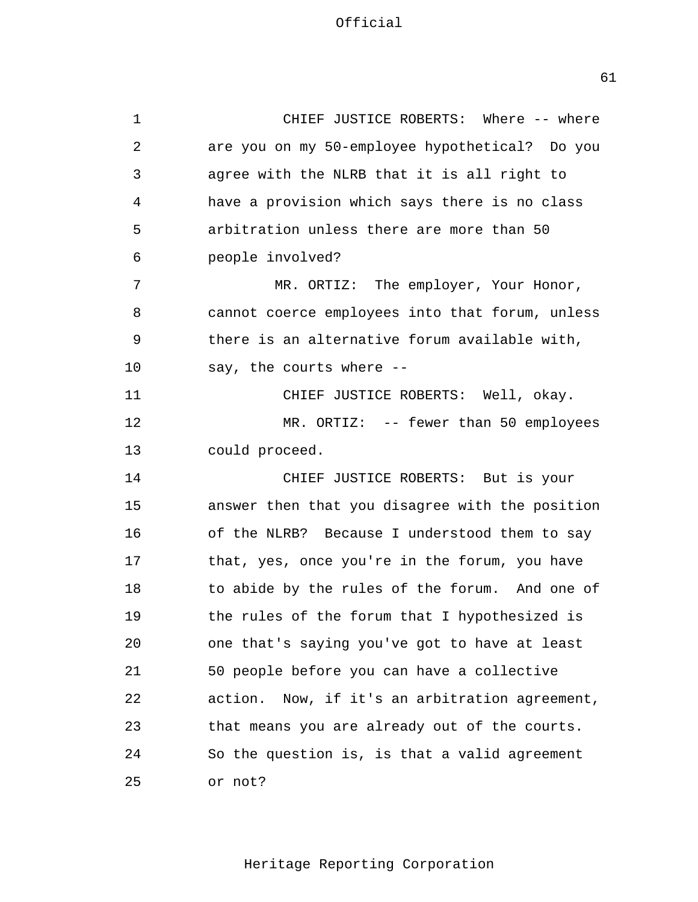1 2 3 4 5 6 7 8 9 10 11 12 13 14 15 16 17 18 19 20 21 22 23  $2.4$ 25 CHIEF JUSTICE ROBERTS: Where -- where are you on my 50-employee hypothetical? Do you agree with the NLRB that it is all right to have a provision which says there is no class arbitration unless there are more than 50 people involved? MR. ORTIZ: The employer, Your Honor, cannot coerce employees into that forum, unless there is an alternative forum available with, say, the courts where - CHIEF JUSTICE ROBERTS: Well, okay. MR. ORTIZ: -- fewer than 50 employees could proceed. CHIEF JUSTICE ROBERTS: But is your answer then that you disagree with the position of the NLRB? Because I understood them to say that, yes, once you're in the forum, you have to abide by the rules of the forum. And one of the rules of the forum that I hypothesized is one that's saying you've got to have at least 50 people before you can have a collective action. Now, if it's an arbitration agreement, that means you are already out of the courts. So the question is, is that a valid agreement or not?

Heritage Reporting Corporation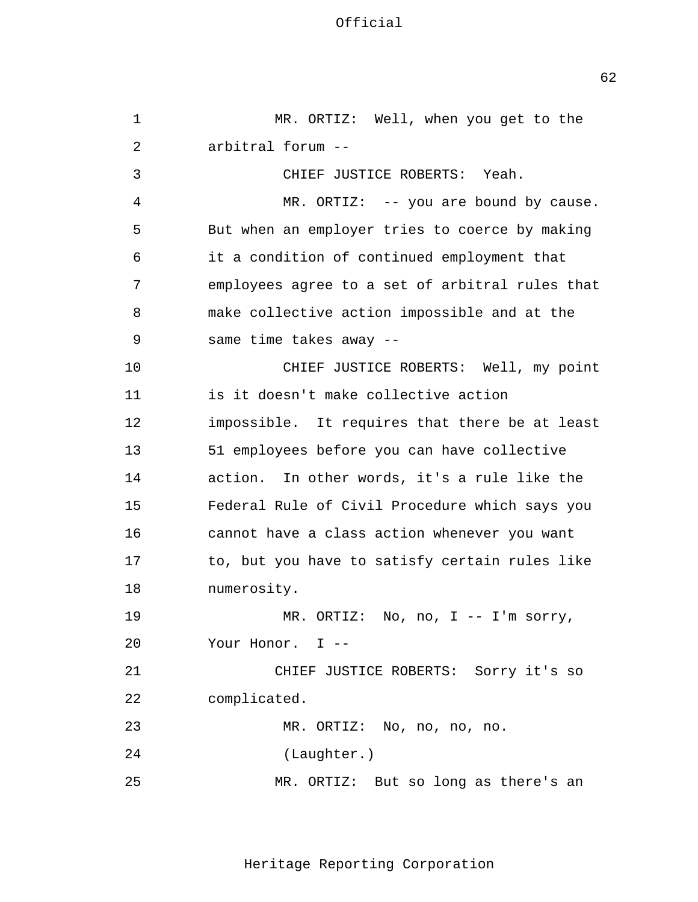1 2 3 4 5 6 7 8 9 10 11 12 13 14 15 16 17 18 19 20 21 22 23  $2.4$ 25 MR. ORTIZ: Well, when you get to the arbitral forum - CHIEF JUSTICE ROBERTS: Yeah. MR. ORTIZ: -- you are bound by cause. But when an employer tries to coerce by making it a condition of continued employment that employees agree to a set of arbitral rules that make collective action impossible and at the same time takes away - CHIEF JUSTICE ROBERTS: Well, my point is it doesn't make collective action impossible. It requires that there be at least 51 employees before you can have collective action. In other words, it's a rule like the Federal Rule of Civil Procedure which says you cannot have a class action whenever you want to, but you have to satisfy certain rules like numerosity. MR. ORTIZ: No, no, I -- I'm sorry, Your Honor. I --CHIEF JUSTICE ROBERTS: Sorry it's so complicated. MR. ORTIZ: No, no, no, no. (Laughter.) MR. ORTIZ: But so long as there's an

Heritage Reporting Corporation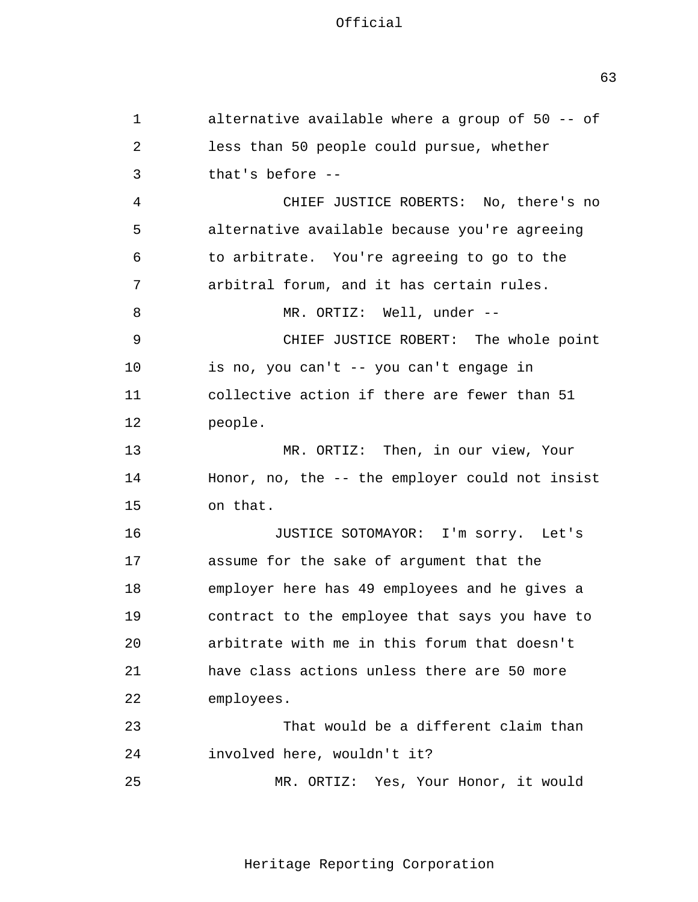1 2 3 4 5 6 7 8 9 10 11 12 13 14 15 16 17 18 19 20 21 22 23 24 25 alternative available where a group of 50 -- of less than 50 people could pursue, whether that's before - CHIEF JUSTICE ROBERTS: No, there's no alternative available because you're agreeing to arbitrate. You're agreeing to go to the arbitral forum, and it has certain rules. MR. ORTIZ: Well, under --CHIEF JUSTICE ROBERT: The whole point is no, you can't -- you can't engage in collective action if there are fewer than 51 people. MR. ORTIZ: Then, in our view, Your Honor, no, the -- the employer could not insist on that. JUSTICE SOTOMAYOR: I'm sorry. Let's assume for the sake of argument that the employer here has 49 employees and he gives a contract to the employee that says you have to arbitrate with me in this forum that doesn't have class actions unless there are 50 more employees. That would be a different claim than involved here, wouldn't it? MR. ORTIZ: Yes, Your Honor, it would

Heritage Reporting Corporation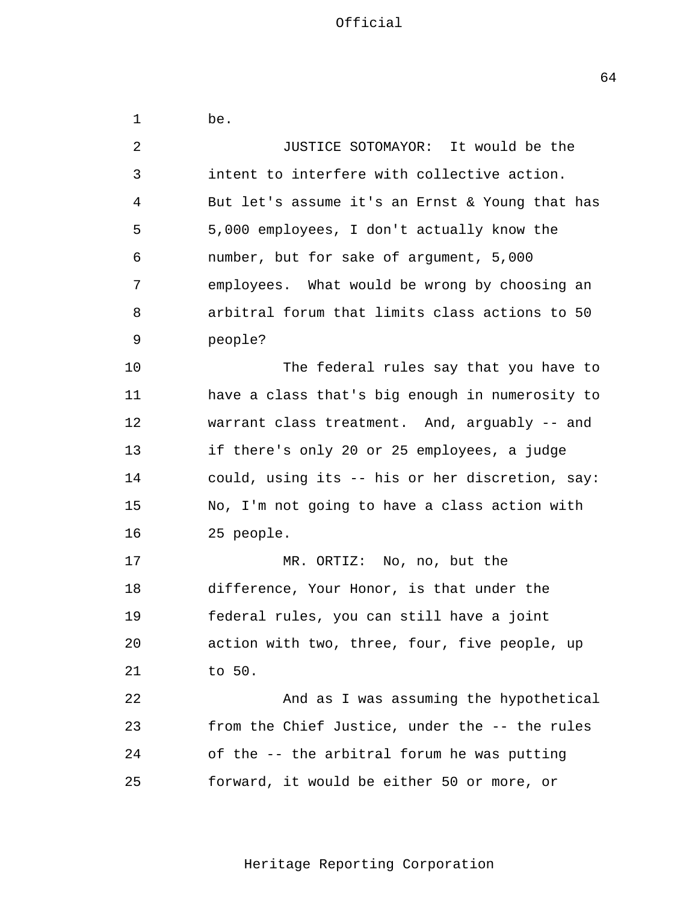1 2 3 4 5 6 7 8 9 10 11 12 13 14 15 16 17 18 19 20 21 22 23 24 25 be. JUSTICE SOTOMAYOR: It would be the intent to interfere with collective action. But let's assume it's an Ernst & Young that has 5,000 employees, I don't actually know the number, but for sake of argument, 5,000 employees. What would be wrong by choosing an arbitral forum that limits class actions to 50 people? The federal rules say that you have to have a class that's big enough in numerosity to warrant class treatment. And, arguably -- and if there's only 20 or 25 employees, a judge could, using its -- his or her discretion, say: No, I'm not going to have a class action with 25 people. MR. ORTIZ: No, no, but the difference, Your Honor, is that under the federal rules, you can still have a joint action with two, three, four, five people, up to 50. And as I was assuming the hypothetical from the Chief Justice, under the -- the rules of the -- the arbitral forum he was putting forward, it would be either 50 or more, or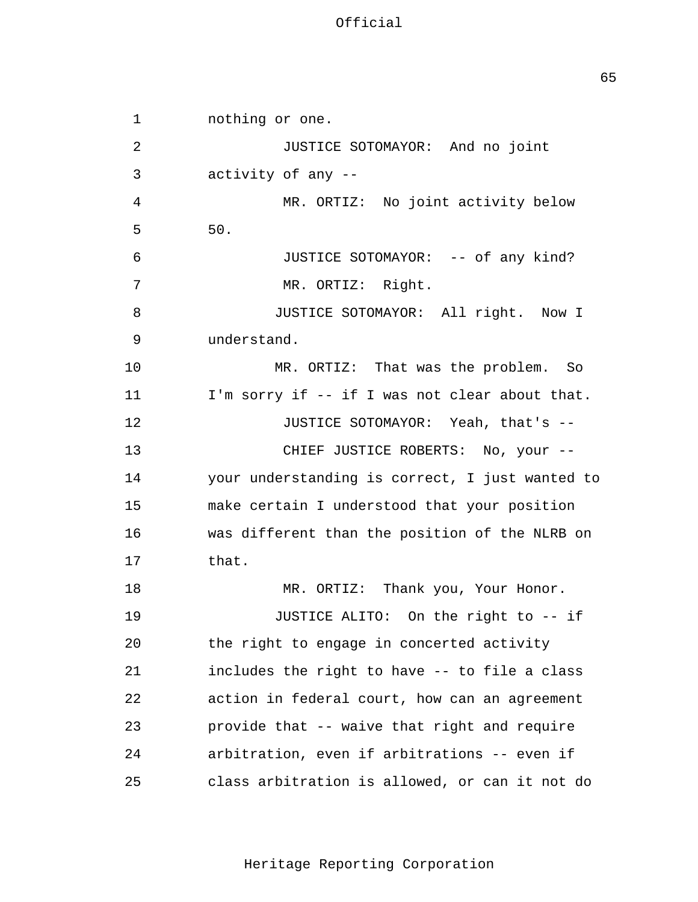JUSTICE SOTOMAYOR: Yeah, that's - 1 2 3 4 5 6 7 8 9 10 11 12 13 14 15 16 17 18 19 20 21 22 23 24 25 nothing or one. JUSTICE SOTOMAYOR: And no joint activity of any - MR. ORTIZ: No joint activity below 50. JUSTICE SOTOMAYOR: -- of any kind? MR. ORTIZ: Right. JUSTICE SOTOMAYOR: All right. Now I understand. MR. ORTIZ: That was the problem. So I'm sorry if -- if I was not clear about that. CHIEF JUSTICE ROBERTS: No, your your understanding is correct, I just wanted to make certain I understood that your position was different than the position of the NLRB on that. MR. ORTIZ: Thank you, Your Honor. JUSTICE ALITO: On the right to -- if the right to engage in concerted activity includes the right to have -- to file a class action in federal court, how can an agreement provide that -- waive that right and require arbitration, even if arbitrations -- even if class arbitration is allowed, or can it not do

Heritage Reporting Corporation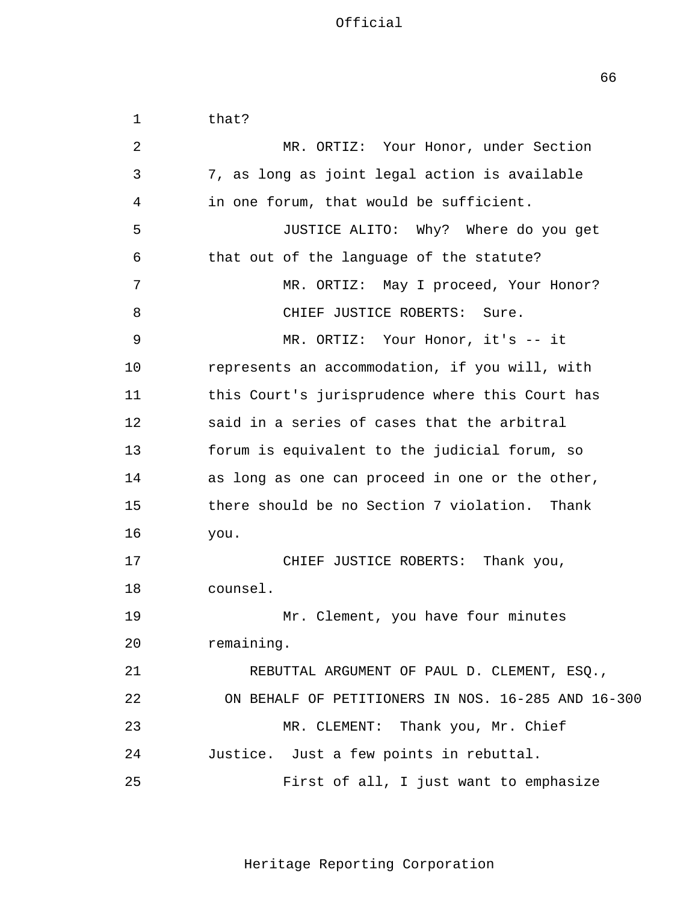1 2 3 4 5 6 7 8 9 10 11 12 13 14 15 16 17 18 19 20 21 22 23 24 25 that? MR. ORTIZ: Your Honor, under Section 7, as long as joint legal action is available in one forum, that would be sufficient. JUSTICE ALITO: Why? Where do you get that out of the language of the statute? MR. ORTIZ: May I proceed, Your Honor? CHIEF JUSTICE ROBERTS: Sure. MR. ORTIZ: Your Honor, it's -- it represents an accommodation, if you will, with this Court's jurisprudence where this Court has said in a series of cases that the arbitral forum is equivalent to the judicial forum, so as long as one can proceed in one or the other, there should be no Section 7 violation. Thank you. CHIEF JUSTICE ROBERTS: Thank you, counsel. Mr. Clement, you have four minutes remaining. REBUTTAL ARGUMENT OF PAUL D. CLEMENT, ESQ., ON BEHALF OF PETITIONERS IN NOS. 16-285 AND 16-300 MR. CLEMENT: Thank you, Mr. Chief Justice. Just a few points in rebuttal. First of all, I just want to emphasize

Heritage Reporting Corporation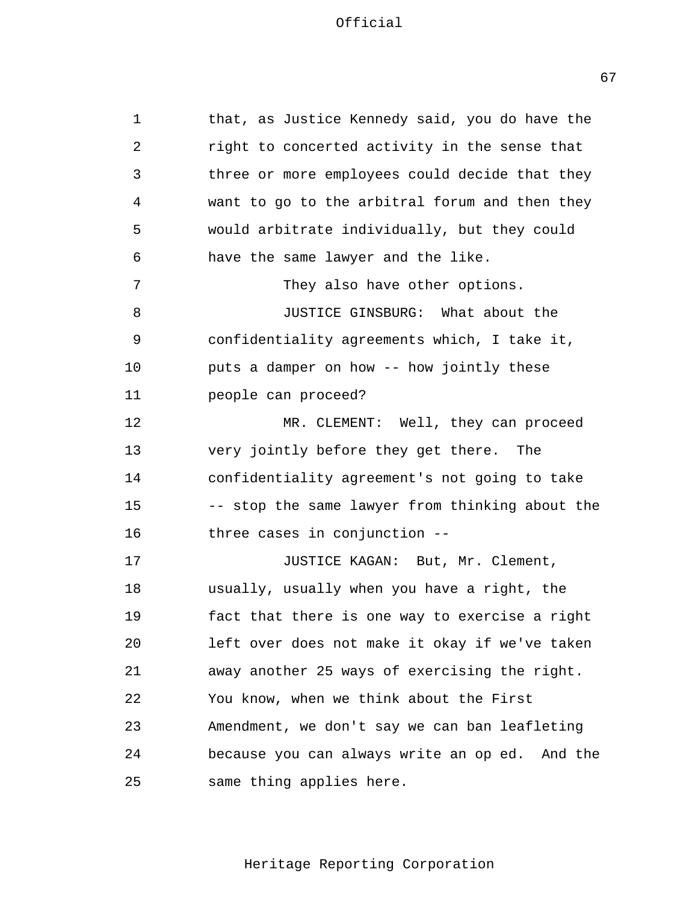1 2 3 4 5 6 7 8 9 10 11 12 13 14 15 16 17 18 19 20 21 22 23  $2.4$ 25 that, as Justice Kennedy said, you do have the right to concerted activity in the sense that three or more employees could decide that they want to go to the arbitral forum and then they would arbitrate individually, but they could have the same lawyer and the like. They also have other options. JUSTICE GINSBURG: What about the confidentiality agreements which, I take it, puts a damper on how -- how jointly these people can proceed? MR. CLEMENT: Well, they can proceed very jointly before they get there. The confidentiality agreement's not going to take -- stop the same lawyer from thinking about the three cases in conjunction - JUSTICE KAGAN: But, Mr. Clement, usually, usually when you have a right, the fact that there is one way to exercise a right left over does not make it okay if we've taken away another 25 ways of exercising the right. You know, when we think about the First Amendment, we don't say we can ban leafleting because you can always write an op ed. And the same thing applies here.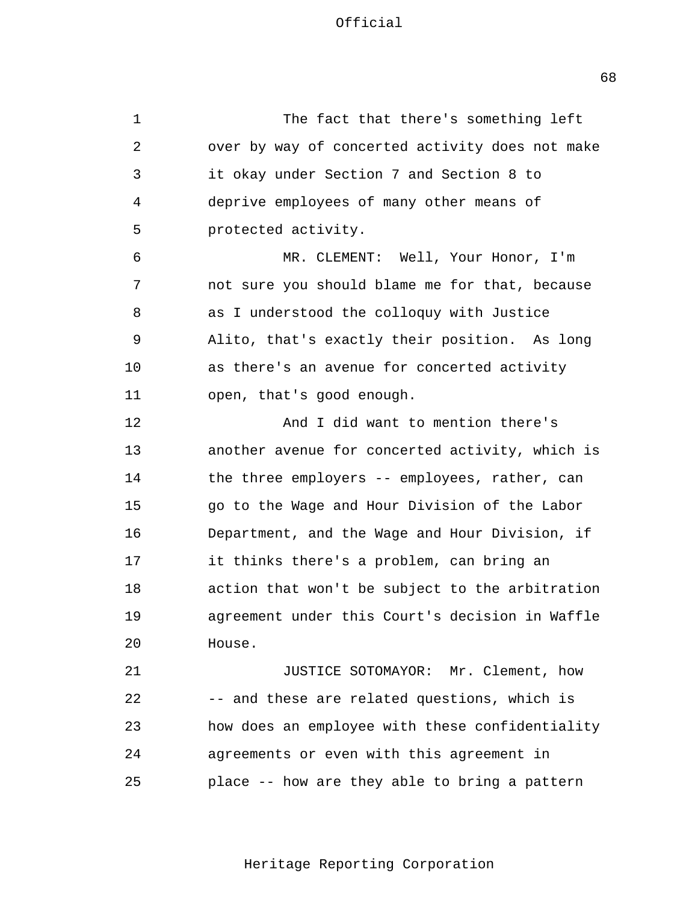1 2 3 4 5 6 7 8 9 10 11 12 13 14 15 16 17 18 19  $2.0$ 21 22 23  $2.4$ 25 The fact that there's something left over by way of concerted activity does not make it okay under Section 7 and Section 8 to deprive employees of many other means of protected activity. MR. CLEMENT: Well, Your Honor, I'm not sure you should blame me for that, because as I understood the colloquy with Justice Alito, that's exactly their position. As long as there's an avenue for concerted activity open, that's good enough. And I did want to mention there's another avenue for concerted activity, which is the three employers -- employees, rather, can go to the Wage and Hour Division of the Labor Department, and the Wage and Hour Division, if it thinks there's a problem, can bring an action that won't be subject to the arbitration agreement under this Court's decision in Waffle House. JUSTICE SOTOMAYOR: Mr. Clement, how -- and these are related questions, which is how does an employee with these confidentiality agreements or even with this agreement in place -- how are they able to bring a pattern

Heritage Reporting Corporation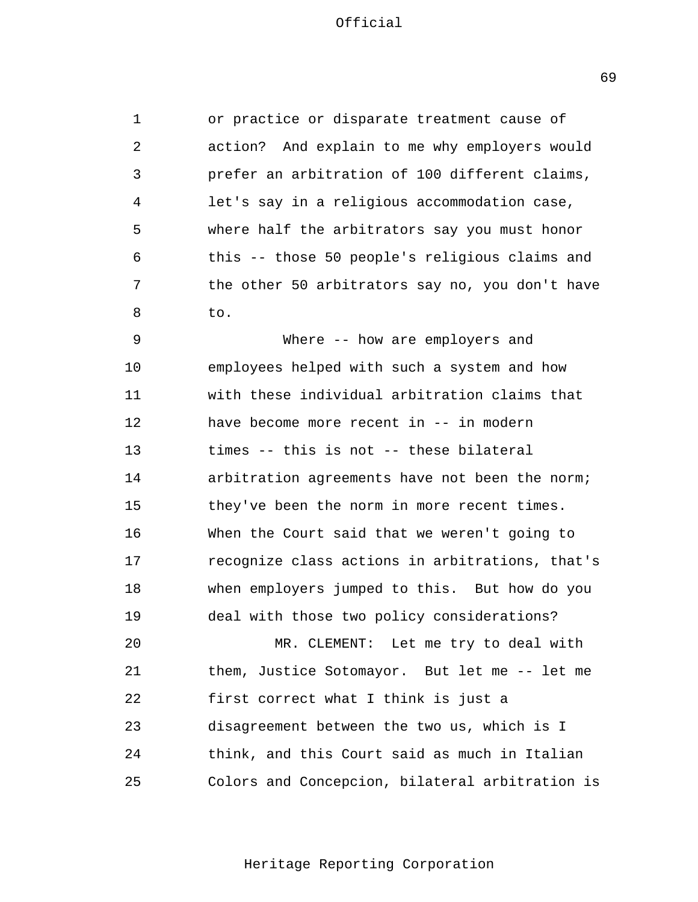1 2 3 4 5 6 7 8 or practice or disparate treatment cause of action? And explain to me why employers would prefer an arbitration of 100 different claims, let's say in a religious accommodation case, where half the arbitrators say you must honor this -- those 50 people's religious claims and the other 50 arbitrators say no, you don't have to.

9 10 11 12 13 14 15 16 17 18 19 Where -- how are employers and employees helped with such a system and how with these individual arbitration claims that have become more recent in -- in modern times -- this is not -- these bilateral arbitration agreements have not been the norm; they've been the norm in more recent times. When the Court said that we weren't going to recognize class actions in arbitrations, that's when employers jumped to this. But how do you deal with those two policy considerations?

 $20^{\circ}$ 21 22 23  $2.4$ 25 MR. CLEMENT: Let me try to deal with them, Justice Sotomayor. But let me -- let me first correct what I think is just a disagreement between the two us, which is I think, and this Court said as much in Italian Colors and Concepcion, bilateral arbitration is

Heritage Reporting Corporation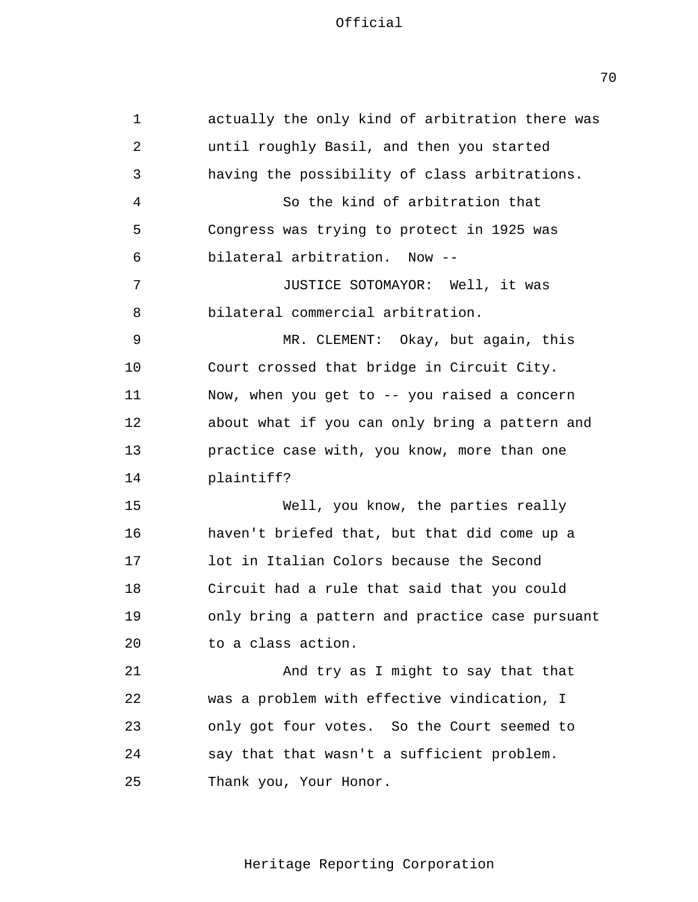1 2 3 4 5 6 7 8 9 10 11 12 13 14 15 16 17 18 19 20 21 22 23  $2.4$ 25 actually the only kind of arbitration there was until roughly Basil, and then you started having the possibility of class arbitrations. So the kind of arbitration that Congress was trying to protect in 1925 was bilateral arbitration. Now - JUSTICE SOTOMAYOR: Well, it was bilateral commercial arbitration. MR. CLEMENT: Okay, but again, this Court crossed that bridge in Circuit City. Now, when you get to -- you raised a concern about what if you can only bring a pattern and practice case with, you know, more than one plaintiff? Well, you know, the parties really haven't briefed that, but that did come up a lot in Italian Colors because the Second Circuit had a rule that said that you could only bring a pattern and practice case pursuant to a class action. And try as I might to say that that was a problem with effective vindication, I only got four votes. So the Court seemed to say that that wasn't a sufficient problem. Thank you, Your Honor.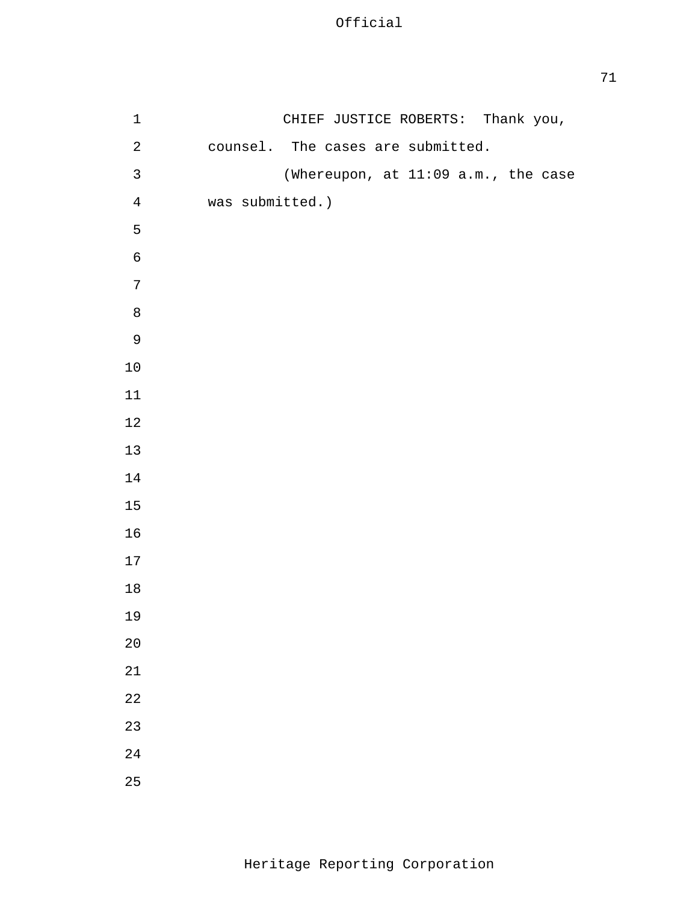| $\mathbf 1$  |                 | CHIEF JUSTICE ROBERTS: Thank you,   |
|--------------|-----------------|-------------------------------------|
| $\sqrt{2}$   |                 | counsel. The cases are submitted.   |
| $\mathbf{3}$ |                 | (Whereupon, at 11:09 a.m., the case |
| $\bf 4$      | was submitted.) |                                     |
| 5            |                 |                                     |
| $\epsilon$   |                 |                                     |
| $\sqrt{ }$   |                 |                                     |
| $\,8\,$      |                 |                                     |
| $\mathsf 9$  |                 |                                     |
| $10$         |                 |                                     |
| $11$         |                 |                                     |
| $1\,2$       |                 |                                     |
| $13$         |                 |                                     |
| $14\,$       |                 |                                     |
| $15\,$       |                 |                                     |
| $16$         |                 |                                     |
| $17$         |                 |                                     |
| $1\,8$       |                 |                                     |
| 19           |                 |                                     |
| 20           |                 |                                     |
| $21\,$       |                 |                                     |
| 22           |                 |                                     |
| 23           |                 |                                     |
| 24           |                 |                                     |
| 25           |                 |                                     |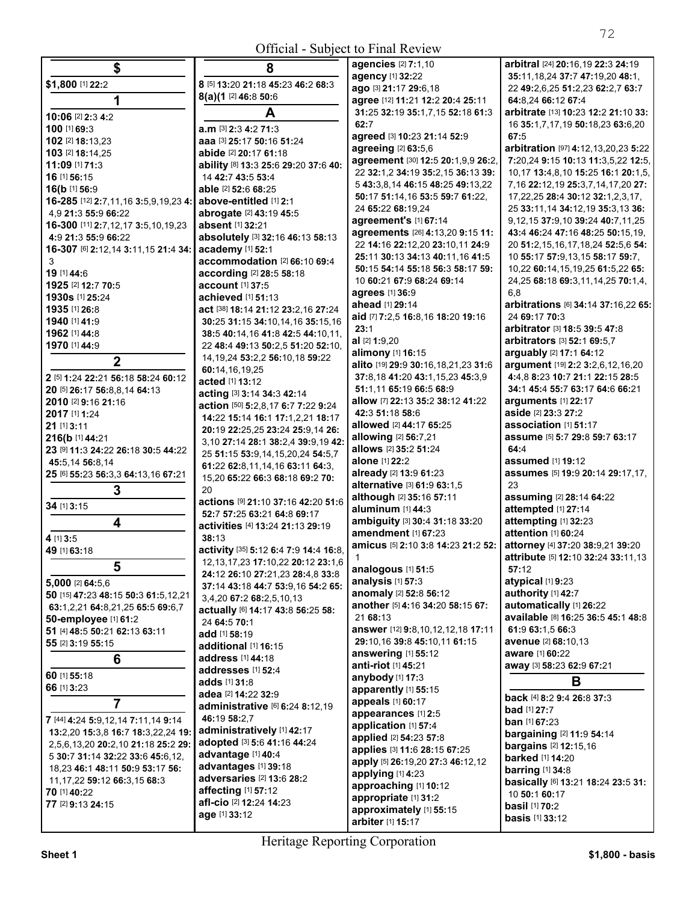## Official - Subject to Final Review

| \$                                                     | 8                                                                  | agencies [2] 7:1,10                                                   | arbitral [24] 20:16,19 22:3 24:19                                       |
|--------------------------------------------------------|--------------------------------------------------------------------|-----------------------------------------------------------------------|-------------------------------------------------------------------------|
| \$1,800 [1] 22:2                                       | 8 [5] 13:20 21:18 45:23 46:2 68:3                                  | agency [1] 32:22                                                      | 35:11,18,24 37:7 47:19,20 48:1,                                         |
|                                                        | 8(a)(1 [2] 46:8 50:6                                               | ago [3] 21:17 29:6,18                                                 | 22 49:2,6,25 51:2,23 62:2,7 63:7                                        |
| 1                                                      |                                                                    | agree [12] 11:21 12:2 20:4 25:11                                      | 64:8.24 66:12 67:4                                                      |
| 10:06 [2] 2:3 4:2                                      | A                                                                  | 31:25 32:19 35:1,7,15 52:18 61:3                                      | arbitrate [13] 10:23 12:2 21:10 33:                                     |
| 100 [1] 69:3                                           | a.m [3] 2:3 4:2 71:3                                               | 62:7                                                                  | 16 35:1,7,17,19 50:18,23 63:6,20                                        |
| 102 [2] 18:13,23                                       | aaa [3] 25:17 50:16 51:24                                          | agreed [3] 10:23 21:14 52:9                                           | 67:5                                                                    |
| 103 [2] 18:14,25                                       | abide [2] 20:17 61:18                                              | agreeing [2] 63:5,6                                                   | arbitration [97] 4:12,13,20,23 5:22                                     |
| 11:09 [1] 71:3                                         | ability [8] 13:3 25:6 29:20 37:6 40:                               | agreement [30] 12:5 20:1,9,9 26:2,                                    | 7:20,24 9:15 10:13 11:3,5,22 12:5,                                      |
| 16 [1] 56:15                                           | 14 42:7 43:5 53:4                                                  | 22 32:1,2 34:19 35:2,15 36:13 39:<br>5 43:3,8,14 46:15 48:25 49:13,22 | 10,17 13:4,8,10 15:25 16:1 20:1,5,<br>7,16 22:12,19 25:3,7,14,17,20 27: |
| 16(b [1] 56:9                                          | able [2] 52:6 68:25                                                | 50:17 51:14.16 53:5 59:7 61:22.                                       | 17,22,25 28:4 30:12 32:1,2,3,17,                                        |
| 16-285 [12] 2:7,11,16 3:5,9,19,23 4:                   | above-entitled [1] 2:1                                             | 24 65:22 68:19.24                                                     | 25 33:11,14 34:12,19 35:3,13 36:                                        |
| 4.9 21:3 55:9 66:22                                    | abrogate [2] 43:19 45:5                                            | agreement's [1] 67:14                                                 | 9, 12, 15 37: 9, 10 39: 24 40: 7, 11, 25                                |
| 16-300 [11] 2:7,12,17 3:5,10,19,23                     | absent [1] 32:21                                                   | agreements [26] 4:13,20 9:15 11:                                      | 43:4 46:24 47:16 48:25 50:15,19,                                        |
| 4:9 21:3 55:9 66:22                                    | absolutely [3] 32:16 46:13 58:13                                   | 22 14:16 22:12,20 23:10,11 24:9                                       | 20 51:2,15,16,17,18,24 52:5,6 54:                                       |
| 16-307 [6] 2:12,14 3:11,15 21:4 34:   academy [1] 52:1 |                                                                    | 25:11 30:13 34:13 40:11,16 41:5                                       | 10 55:17 57:9,13,15 58:17 59:7,                                         |
| 3                                                      | accommodation [2] 66:10 69:4                                       | 50:15 54:14 55:18 56:3 58:17 59:                                      | 10,22 60:14,15,19,25 61:5,22 65:                                        |
| 19 [1] 44:6                                            | according [2] 28:5 58:18                                           | 10 60:21 67:9 68:24 69:14                                             | 24,25 68:18 69:3,11,14,25 70:1,4,                                       |
| 1925 [2] 12:7 70:5                                     | account [1] 37:5                                                   | agrees [1] 36:9                                                       | 6.8                                                                     |
| 1930s [1] 25:24                                        | achieved [1] 51:13                                                 | ahead [1] 29:14                                                       | arbitrations [6] 34:14 37:16,22 65:                                     |
| 1935 [1] 26:8                                          | act [38] 18:14 21:12 23:2,16 27:24                                 | aid [7] 7:2,5 16:8,16 18:20 19:16                                     | 24 69:17 70:3                                                           |
| 1940 [1] 41:9                                          | 30:25 31:15 34:10,14,16 35:15,16                                   | 23:1                                                                  | arbitrator [3] 18:5 39:5 47:8                                           |
| 1962 [1] 44:8                                          | 38:5 40:14,16 41:8 42:5 44:10,11,                                  | al [2] 1:9,20                                                         | arbitrators [3] 52:1 69:5,7                                             |
| 1970 [1] 44:9                                          | 22 48:4 49:13 50:2,5 51:20 52:10,                                  | alimony [1] 16:15                                                     | arguably [2] 17:1 64:12                                                 |
| $\overline{2}$                                         | 14, 19, 24 53: 2, 2 56: 10, 18 59: 22                              | alito [19] 29:9 30:16,18,21,23 31:6                                   | argument [19] 2:2 3:2,6,12,16,20                                        |
| 2 [5] 1:24 22:21 56:18 58:24 60:12                     | 60:14,16,19,25                                                     | 37:8,18 41:20 43:1,15,23 45:3,9                                       | 4:4,8 8:23 10:7 21:1 22:15 28:5                                         |
| 20 [5] 26:17 56:8,8,14 64:13                           | acted [1] 13:12                                                    | 51:1,11 65:19 66:5 68:9                                               | 34:1 45:4 55:7 63:17 64:6 66:21                                         |
| 2010 [2] 9:16 21:16                                    | acting [3] 3:14 34:3 42:14                                         | allow [7] 22:13 35:2 38:12 41:22                                      | arguments $[1]$ 22:17                                                   |
| 2017 [1] 1:24                                          | action [50] 5:2,8,17 6:7 7:22 9:24                                 | 42:3 51:18 58:6                                                       | aside [2] 23:3 27:2                                                     |
| 21 [1] 3:11                                            | 14:22 15:14 16:1 17:1,2,21 18:17                                   | allowed [2] 44:17 65:25                                               | association [1] 51:17                                                   |
| 216(b [1] 44:21                                        | 20:19 22:25,25 23:24 25:9,14 26:                                   | allowing [2] 56:7,21                                                  | assume [5] 5:7 29:8 59:7 63:17                                          |
| 23 [9] 11:3 24:22 26:18 30:5 44:22                     | 3,10 27:14 28:1 38:2,4 39:9,19 42:                                 | allows [2] 35:2 51:24                                                 | 64:4                                                                    |
| 45:5,14 56:8,14                                        | 25 51:15 53:9,14,15,20,24 54:5,7                                   | alone [1] 22:2                                                        | assumed [1] 19:12                                                       |
| 25 [6] 55:23 56:3,3 64:13,16 67:21                     | 61:22 62:8,11,14,16 63:11 64:3,<br>15,20 65:22 66:3 68:18 69:2 70: | already [2] 13:9 61:23                                                | assumes [5] 19:9 20:14 29:17,17,                                        |
| 3                                                      | 20                                                                 | alternative [3] 61:9 63:1,5                                           | 23                                                                      |
|                                                        | actions [9] 21:10 37:16 42:20 51:6                                 | although [2] 35:16 57:11                                              | assuming [2] 28:14 64:22                                                |
| 34 [1] 3:15                                            | 52:7 57:25 63:21 64:8 69:17                                        | aluminum [1] 44:3                                                     | attempted [1] 27:14                                                     |
| 4                                                      | activities [4] 13:24 21:13 29:19                                   | ambiguity [3] 30:4 31:18 33:20                                        | attempting [1] 32:23                                                    |
| 4 [1] 3:5                                              | 38:13                                                              | amendment [1] 67:23                                                   | attention [1] 60:24                                                     |
| 49 [1] 63:18                                           | activity [35] 5:12 6:4 7:9 14:4 16:8,                              | amicus [5] 2:10 3:8 14:23 21:2 52:                                    | attorney [4] 37:20 38:9,21 39:20                                        |
|                                                        | 12, 13, 17, 23 17: 10, 22 20: 12 23: 1, 6                          | $\mathbf{1}$                                                          | attribute [5] 12:10 32:24 33:11,13                                      |
| 5                                                      | 24:12 26:10 27:21,23 28:4,8 33:8                                   | analogous [1] 51:5                                                    | 57:12                                                                   |
| 5,000 [2] 64:5.6                                       | 37:14 43:18 44:7 53:9,16 54:2 65:                                  | analysis [1] 57:3                                                     | atypical [1] 9:23                                                       |
| 50 [15] 47:23 48:15 50:3 61:5,12,21                    | 3,4,20 67:2 68:2,5,10,13                                           | anomaly [2] 52:8 56:12                                                | authority [1] 42:7                                                      |
| 63:1,2,21 64:8,21,25 65:5 69:6,7                       | actually [6] 14:17 43:8 56:25 58:                                  | another [5] 4:16 34:20 58:15 67:                                      | automatically [1] 26:22                                                 |
| 50-employee [1] 61:2                                   | 24 64:5 70:1                                                       | 21 68:13                                                              | available [8] 16:25 36:5 45:1 48:8                                      |
| 51 [4] 48:5 50:21 62:13 63:11                          | add [1] 58:19                                                      | answer [12] 9:8,10,12,12,18 17:11                                     | 61:9 63:1,5 66:3                                                        |
| 55 [2] 3:19 55:15                                      | additional [1] 16:15                                               | 29:10,16 39:8 45:10,11 61:15                                          | avenue [2] 68:10.13                                                     |
| 6                                                      | address [1] 44:18                                                  | answering [1] 55:12                                                   | <b>aware</b> [1] 60:22                                                  |
| 60 [1] 55:18                                           | addresses [1] 52:4                                                 | anti-riot [1] 45:21                                                   | away [3] 58:23 62:9 67:21                                               |
|                                                        | <b>adds</b> [1] <b>31:</b> 8                                       | anybody [1] 17:3                                                      | В                                                                       |
| 66 [1] 3:23                                            | adea [2] 14:22 32:9                                                | apparently [1] 55:15                                                  | back [4] 8:2 9:4 26:8 37:3                                              |
| 7                                                      | administrative [6] 6:24 8:12,19                                    | appeals [1] 60:17                                                     | <b>bad</b> [1] 27:7                                                     |
| 7 [44] 4:24 5:9,12,14 7:11,14 9:14                     | 46:19 58:2,7                                                       | appearances [1] 2:5                                                   | <b>ban</b> [1] <b>67:23</b>                                             |
| 13:2,20 15:3,8 16:7 18:3,22,24 19:                     | administratively [1] 42:17                                         | application [1] 57:4                                                  | bargaining [2] 11:9 54:14                                               |
| 2,5,6,13,20 20:2,10 21:18 25:2 29:                     | adopted [3] 5:6 41:16 44:24                                        | applied [2] 54:23 57:8                                                | <b>bargains</b> [2] 12:15,16                                            |
| 5 30:7 31:14 32:22 33:6 45:6,12,                       | advantage [1] 40:4                                                 | applies [3] 11:6 28:15 67:25                                          | <b>barked</b> [1] 14:20                                                 |
| 18,23 46:1 48:11 50:9 53:17 56:                        | advantages [1] 39:18                                               | apply [5] 26:19,20 27:3 46:12,12                                      | <b>barring</b> [1] 34:8                                                 |
| 11, 17, 22 59: 12 66: 3, 15 68: 3                      | adversaries [2] 13:6 28:2                                          | applying [1] 4:23<br>approaching [1] 10:12                            | basically [6] 13:21 18:24 23:5 31:                                      |
| 70 [1] 40:22                                           | affecting [1] 57:12                                                | appropriate [1] 31:2                                                  | 10 50:1 60:17                                                           |
| 77 [2] 9:13 24:15                                      | afl-cio [2] 12:24 14:23                                            | approximately [1] 55:15                                               | <b>basil</b> [1] 70:2                                                   |
|                                                        | age [1] 33:12                                                      | arbiter [1] 15:17                                                     | <b>basis</b> [1] 33:12                                                  |
|                                                        |                                                                    |                                                                       |                                                                         |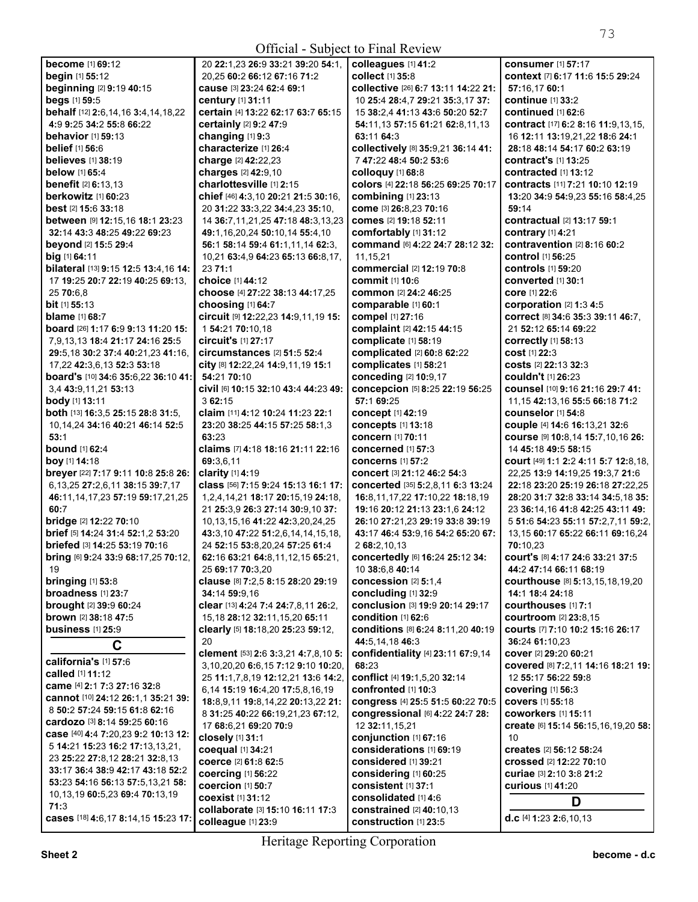| <b>become</b> [1] 69:12                          | 20 22:1.23 26:9 33:21 39:20 54:1.                      | colleagues [1] 41:2                               | <b>consumer</b> [1] 57:17                                  |
|--------------------------------------------------|--------------------------------------------------------|---------------------------------------------------|------------------------------------------------------------|
| beain [1] 55:12                                  | 20,25 60:2 66:12 67:16 71:2                            | collect [1] 35:8                                  | context [7] 6:17 11:6 15:5 29:24                           |
| beginning [2] 9:19 40:15                         | cause [3] 23:24 62:4 69:1                              | collective [26] 6:7 13:11 14:22 21:               | 57:16.17 60:1                                              |
| beas [1] 59:5                                    | century [1] 31:11                                      | 10 25:4 28:4,7 29:21 35:3,17 37:                  | continue [1] 33:2                                          |
| behalf [12] 2:6, 14, 16 3:4, 14, 18, 22          | certain [4] 13:22 62:17 63:7 65:15                     | 15 38:2,4 41:13 43:6 50:20 52:7                   | continued [1] 62:6                                         |
| 4:9 9:25 34:2 55:8 66:22                         | certainly [2] 9:2 47:9                                 | 54:11.13 57:15 61:21 62:8.11.13                   | contract [17] 6:2 8:16 11:9,13,15,                         |
| <b>behavior</b> [1] 59:13                        | changing [1] 9:3                                       | 63:11 64:3                                        | 16 12:11 13:19,21,22 18:6 24:1                             |
| <b>belief</b> [1] 56:6                           | characterize [1] 26:4                                  | collectively [8] 35:9,21 36:14 41:                | 28:18 48:14 54:17 60:2 63:19                               |
| <b>believes</b> [1] 38:19                        | charge [2] 42:22,23                                    | 7 47:22 48:4 50:2 53:6                            | contract's [1] 13:25                                       |
| below [1] 65:4                                   | charges [2] 42:9,10                                    | colloquy [1] 68:8                                 | contracted [1] 13:12                                       |
| <b>benefit</b> [2] 6:13,13                       | charlottesville [1] 2:15                               | colors [4] 22:18 56:25 69:25 70:17                | contracts [11] 7:21 10:10 12:19                            |
| <b>berkowitz</b> [1] 60:23                       | chief [46] 4:3,10 20:21 21:5 30:16,                    | combining [1] 23:13                               | 13:20 34:9 54:9,23 55:16 58:4,25                           |
| <b>best</b> [2] <b>15:6 33:18</b>                | 20 31:22 33:3,22 34:4,23 35:10,                        | come [3] 26:8,23 70:16                            | 59:14                                                      |
| between [9] 12:15,16 18:1 23:23                  | 14 36:7,11,21,25 47:18 48:3,13,23                      | comes [2] 19:18 52:11                             | <b>contractual</b> [2] 13:17 59:1                          |
| 32:14 43:3 48:25 49:22 69:23                     | 49:1,16,20,24 50:10,14 55:4,10                         | comfortably [1] 31:12                             | contrary [1] 4:21                                          |
| beyond [2] 15:5 29:4                             | 56:1 58:14 59:4 61:1,11,14 62:3,                       | command [6] 4:22 24:7 28:12 32:                   | contravention [2] 8:16 60:2                                |
| big [1] 64:11                                    | 10,21 63:4,9 64:23 65:13 66:8,17,                      | 11,15,21                                          | <b>control</b> [1] 56:25                                   |
| bilateral [13] 9:15 12:5 13:4,16 14:             | 23 71:1                                                | commercial [2] 12:19 70:8                         | <b>controls</b> [1] 59:20                                  |
| 17 19:25 20:7 22:19 40:25 69:13,                 | choice [1] 44:12                                       | <b>commit</b> [1] 10:6                            | <b>converted</b> [1] 30:1                                  |
| 25 70:6,8                                        | choose [4] 27:22 38:13 44:17,25                        | <b>common</b> [2] 24:2 46:25                      | <b>core</b> [1] 22:6                                       |
| bit [1] 55:13                                    | choosing [1] 64:7                                      | comparable [1] 60:1                               | corporation [2] 1:3 4:5                                    |
| <b>blame</b> [1] 68:7                            | circuit [9] 12:22,23 14:9,11,19 15:                    | compel [1] 27:16                                  | <b>correct</b> [8] 34:6 35:3 39:11 46:7.                   |
| <b>board</b> [26] <b>1:17 6:9 9:13 11:20 15:</b> | 1 54:21 70:10,18                                       | complaint [2] 42:15 44:15                         | 21 52:12 65:14 69:22                                       |
| 7,9,13,13 18:4 21:17 24:16 25:5                  | <b>circuit's [1] 27:17</b>                             | complicate [1] 58:19                              | <b>correctly</b> [1] 58:13                                 |
| 29:5,18 30:2 37:4 40:21,23 41:16,                | circumstances $[2]$ 51:5 52:4                          | complicated [2] 60:8 62:22                        | <b>cost [1] 22:3</b>                                       |
| 17,22 42:3,6,13 52:3 53:18                       | city [8] 12:22,24 14:9,11,19 15:1                      | complicates [1] 58:21                             | <b>costs</b> [2] 22:13 32:3                                |
| board's [10] 34:6 35:6,22 36:10 41:              | 54:21 70:10                                            | conceding [2] 10:9,17                             | <b>couldn't</b> [1] 26:23                                  |
| 3,4 43:9,11,21 53:13                             | civil [6] 10:15 32:10 43:4 44:23 49:                   | concepcion [5] 8:25 22:19 56:25                   | counsel [10] 9:16 21:16 29:7 41:                           |
| body [1] 13:11                                   | 3 62:15                                                | 57:1 69:25                                        | 11, 15 42: 13, 16 55: 5 66: 18 71: 2                       |
| both [13] 16:3,5 25:15 28:8 31:5,                | claim [11] 4:12 10:24 11:23 22:1                       | concept [1] 42:19                                 | <b>counselor</b> [1] 54:8                                  |
| 10, 14, 24 34: 16 40: 21 46: 14 52: 5            | 23:20 38:25 44:15 57:25 58:1,3                         | concepts [1] 13:18                                | couple [4] 14:6 16:13,21 32:6                              |
| 53:1                                             | 63:23                                                  | <b>concern</b> [1] 70:11                          | COUISE [9] 10:8,14 15:7,10,16 26:                          |
| <b>bound</b> [1] 62:4                            | claims [7] 4:18 18:16 21:11 22:16                      | <b>concerned</b> [1] 57:3                         | 14 45:18 49:5 58:15                                        |
| boy [1] 14:18                                    | 69:3.6.11                                              | <b>concerns</b> [1] 57:2                          | court [49] 1:1 2:2 4:11 5:7 12:8,18,                       |
| breyer [22] 7:17 9:11 10:8 25:8 26:              | clarity $[1]$ 4:19                                     | <b>concert</b> [3] 21:12 46:2 54:3                | 22,25 13:9 14:19,25 19:3,7 21:6                            |
| 6, 13, 25 27: 2, 6, 11 38: 15 39: 7, 17          | class [56] 7:15 9:24 15:13 16:1 17:                    | concerted [35] 5:2,8,11 6:3 13:24                 | 22:18 23:20 25:19 26:18 27:22,25                           |
| 46:11, 14, 17, 23 57:19 59:17, 21, 25            | 1,2,4,14,21 18:17 20:15,19 24:18,                      | 16:8, 11, 17, 22 17: 10, 22 18: 18, 19            | 28:20 31:7 32:8 33:14 34:5,18 35:                          |
| 60:7                                             | 21 25:3,9 26:3 27:14 30:9,10 37:                       | 19:16 20:12 21:13 23:1,6 24:12                    | 23 36:14,16 41:8 42:25 43:11 49:                           |
| bridge [2] 12:22 70:10                           | 10, 13, 15, 16 41: 22 42: 3, 20, 24, 25                | 26:10 27:21,23 29:19 33:8 39:19                   | 5 51:6 54:23 55:11 57:2,7,11 59:2,                         |
|                                                  |                                                        |                                                   |                                                            |
| brief [5] 14:24 31:4 52:1,2 53:20                | 43:3.10 47:22 51:2.6.14.14.15.18.                      | 43:17 46:4 53:9,16 54:2 65:20 67:                 | 13,15 60:17 65:22 66:11 69:16,24                           |
| briefed [3] 14:25 53:19 70:16                    | 24 52:15 53:8,20,24 57:25 61:4                         | 2 68:2,10,13                                      | 70:10.23                                                   |
|                                                  | 62:16 63:21 64:8,11,12,15 65:21,                       | concertedly [6] 16:24 25:12 34:                   |                                                            |
| bring [6] 9:24 33:9 68:17,25 70:12,<br>19        | 25 69:17 70:3,20                                       | 10 38:6,8 40:14                                   | COUrt's [8] 4:17 24:6 33:21 37:5<br>44:2 47:14 66:11 68:19 |
| bringing $[1]$ 53:8                              |                                                        | concession [2] 5:1,4                              | <b>courthouse</b> [8] 5:13,15,18,19,20                     |
| broadness [1] 23:7                               | clause [8] 7:2,5 8:15 28:20 29:19<br>34:14 59:9,16     | concluding [1] 32:9                               | 14:1 18:4 24:18                                            |
| <b>brought</b> [2] 39:9 60:24                    | clear [13] 4:24 7:4 24:7,8,11 26:2,                    | conclusion [3] 19:9 20:14 29:17                   | courthouses [1] 7:1                                        |
| brown [2] 38:18 47:5                             | 15, 18 28: 12 32: 11, 15, 20 65: 11                    | condition [1] 62:6                                | courtroom [2] 23:8,15                                      |
| <b>business</b> [1] 25:9                         | clearly [5] 18:18,20 25:23 59:12,                      | conditions [8] 6:24 8:11,20 40:19                 | courts [7] 7:10 10:2 15:16 26:17                           |
|                                                  | 20                                                     | 44:5,14,18 46:3                                   | 36:24 61:10,23                                             |
| $\mathbf C$                                      | clement [53] 2:6 3:3,21 4:7,8,10 5:                    | confidentiality [4] 23:11 67:9,14                 | <b>cover</b> [2] <b>29:20 60:21</b>                        |
| california's [1] 57:6                            | 3,10,20,20 6:6,15 7:12 9:10 10:20,                     | 68:23                                             | Covered [8] 7:2,11 14:16 18:21 19:                         |
| called [1] 11:12                                 | 25 11:1,7,8,19 12:12,21 13:6 14:2,                     | conflict [4] 19:1,5,20 32:14                      | 12 55:17 56:22 59:8                                        |
| came [4] 2:1 7:3 27:16 32:8                      | 6,14 15:19 16:4,20 17:5,8,16,19                        | confronted [1] 10:3                               | covering [1] 56:3                                          |
| cannot [10] 24:12 26:1.1 35:21 39:               | 18:8,9,11 19:8,14,22 20:13,22 21:                      | congress [4] 25:5 51:5 60:22 70:5                 | <b>covers</b> [1] 55:18                                    |
| 8 50:2 57:24 59:15 61:8 62:16                    | 8 31:25 40:22 66:19,21,23 67:12,                       | congressional [6] 4:22 24:7 28:                   | <b>coworkers</b> [1] 15:11                                 |
| cardozo [3] 8:14 59:25 60:16                     | 17 68:6,21 69:20 70:9                                  | 12 32:11, 15, 21                                  | create [6] 15:14 56:15,16,19,20 58:                        |
| case [40] 4:4 7:20,23 9:2 10:13 12:              | closely [1] 31:1                                       | conjunction [1] 67:16                             | 10                                                         |
| 5 14:21 15:23 16:2 17:13,13,21,                  | coequal [1] 34:21                                      | considerations [1] 69:19                          | creates [2] 56:12 58:24                                    |
| 23 25:22 27:8,12 28:21 32:8,13                   | coerce [2] 61:8 62:5                                   | considered [1] 39:21                              | crossed [2] 12:22 70:10                                    |
| 33:17 36:4 38:9 42:17 43:18 52:2                 | coercing [1] 56:22                                     | considering [1] 60:25                             | curiae [3] 2:10 3:8 21:2                                   |
| 53:23 54:16 56:13 57:5,13,21 58:                 | coercion [1] 50:7                                      | consistent [1] 37:1                               | curious [1] 41:20                                          |
| 10,13,19 60:5,23 69:4 70:13,19                   | <b>coexist</b> [1] 31:12                               | consolidated [1] 4:6                              |                                                            |
| 71:3<br>cases [18] 4:6,17 8:14,15 15:23 17:      | collaborate [3] 15:10 16:11 17:3<br>colleague [1] 23:9 | constrained [2] 40:10,13<br>construction [1] 23:5 | D<br>d.c $[4]$ 1:23 2:6,10,13                              |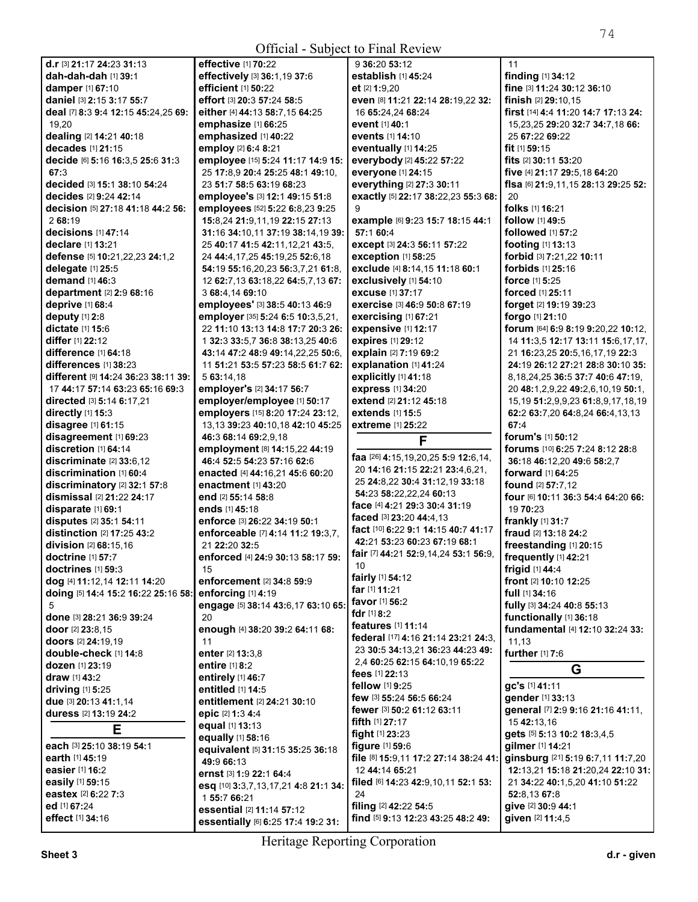| Official - Subject to Final Review                 |                                                                 |                                                             |                                                    |
|----------------------------------------------------|-----------------------------------------------------------------|-------------------------------------------------------------|----------------------------------------------------|
| d.r [3] 21:17 24:23 31:13                          | effective [1] 70:22                                             | 9 36:20 53:12                                               | 11                                                 |
| dah-dah-dah [1] 39:1                               | effectively [3] 36:1,19 37:6                                    | establish [1] 45:24                                         | finding [1] 34:12                                  |
| damper [1] 67:10                                   | efficient [1] 50:22                                             | et [2] 1:9,20                                               | fine [3] 11:24 30:12 36:10                         |
| <b>daniel</b> [3] <b>2:15 3:17 55:7</b>            | effort [3] 20:3 57:24 58:5                                      | even [8] 11:21 22:14 28:19,22 32:                           | finish [2] 29:10.15                                |
| deal [7] 8:3 9:4 12:15 45:24,25 69:                | either [4] 44:13 58:7,15 64:25                                  | 16 65:24,24 68:24                                           | first [14] 4:4 11:20 14:7 17:13 24:                |
| 19,20                                              | emphasize [1] 66:25                                             | event [1] 40:1                                              | 15,23,25 29:20 32:7 34:7,18 66:                    |
| dealing [2] 14:21 40:18                            | emphasized [1] 40:22                                            | <b>events</b> [1] <b>14:10</b>                              | 25 67:22 69:22                                     |
| decades [1] 21:15                                  | employ [2] 6:4 8:21                                             | eventually [1] 14:25                                        | fit $[1]$ 59:15                                    |
| decide [6] 5:16 16:3,5 25:6 31:3                   | employee [15] 5:24 11:17 14:9 15:                               | everybody [2] 45:22 57:22                                   | <b>fits</b> [2] <b>30:11 53:2</b> 0                |
| 67:3                                               | 25 17:8,9 20:4 25:25 48:1 49:10,                                | everyone [1] 24:15                                          | five [4] 21:17 29:5,18 64:20                       |
| decided [3] 15:1 38:10 54:24                       | 23 51:7 58:5 63:19 68:23                                        | everything [2] 27:3 30:11                                   | fisa [6] 21:9,11,15 28:13 29:25 52:                |
| decides [2] 9:24 42:14                             | employee's [3] 12:1 49:15 51:8                                  | exactly [5] 22:17 38:22,23 55:3 68:                         | 20                                                 |
| decision [5] 27:18 41:18 44:2 56:                  | employees [52] 5:22 6:8,23 9:25                                 | 9                                                           | folks [1] 16:21                                    |
| 2 68:19                                            | 15:8,24 21:9,11,19 22:15 27:13                                  | example [6] 9:23 15:7 18:15 44:1                            | follow [1] 49:5                                    |
| decisions $[1]$ 47:14                              | 31:16 34:10,11 37:19 38:14,19 39:                               | 57:1 60:4                                                   | followed [1] 57:2                                  |
| declare [1] 13:21                                  | 25 40:17 41:5 42:11,12,21 43:5,                                 | except [3] 24:3 56:11 57:22                                 | <b>footing</b> $[1]$ 13:13                         |
| defense [5] 10:21, 22, 23 24:1, 2                  | 24 44:4, 17, 25 45: 19, 25 52: 6, 18                            | <b>exception [1] 58:25</b>                                  | forbid [3] 7:21,22 10:11<br>forbids [1] 25:16      |
| delegate $[1]$ 25:5                                | 54:19 55:16,20,23 56:3,7,21 61:8,                               | exclude [4] 8:14,15 11:18 60:1                              |                                                    |
| demand [1] 46:3<br><b>department</b> [2] 2:9 68:16 | 12 62:7,13 63:18,22 64:5,7,13 67:<br>3 68:4,14 69:10            | exclusively [1] 54:10<br>excuse [1] 37:17                   | <b>force</b> $[1]$ 5:25<br><b>forced</b> [1] 25:11 |
| deprive [1] 68:4                                   | employees' [3] 38:5 40:13 46:9                                  | <b>exercise</b> [3] 46:9 50:8 67:19                         | forget [2] 19:19 39:23                             |
| deputy [1] 2:8                                     | employer [35] 5:24 6:5 10:3,5,21,                               | exercising [1] 67:21                                        | forgo $[1]$ 21:10                                  |
| dictate [1] 15:6                                   | 22 11:10 13:13 14:8 17:7 20:3 26:                               | expensive [1] 12:17                                         | <b>forum</b> $[64]$ 6:9 8:19 9:20,22 10:12,        |
| differ [1] 22:12                                   | 1 32:3 33:5,7 36:8 38:13,25 40:6                                | expires [1] 29:12                                           | 14 11:3,5 12:17 13:11 15:6,17,17,                  |
| difference $[1]$ 64:18                             | 43:14 47:2 48:9 49:14,22,25 50:6,                               | explain [2] 7:19 69:2                                       | 21 16:23,25 20:5,16,17,19 22:3                     |
| differences $[1]$ 38:23                            | 11 51:21 53:5 57:23 58:5 61:7 62:                               | explanation [1] 41:24                                       | 24:19 26:12 27:21 28:8 30:10 35:                   |
| different [9] 14:24 36:23 38:11 39:                | 5 63:14.18                                                      | explicitly [1] 41:18                                        | 8, 18, 24, 25 36: 5 37: 7 40: 6 47: 19,            |
| 17 44:17 57:14 63:23 65:16 69:3                    | employer's [2] 34:17 56:7                                       | express [1] 34:20                                           | 20 48:1,2,9,22 49:2,6,10,19 50:1,                  |
| directed [3] 5:14 6:17,21                          | employer/employee [1] 50:17                                     | <b>extend</b> [2] 21:12 45:18                               | 15, 19 51: 2, 9, 9, 23 61: 8, 9, 17, 18, 19        |
| directly $[1]$ 15:3                                | employers [15] 8:20 17:24 23:12,                                | <b>extends</b> [1] 15:5                                     | 62:2 63:7,20 64:8,24 66:4,13,13                    |
| disagree $[1]$ 61:15                               | 13,13 39:23 40:10,18 42:10 45:25                                | <b>extreme</b> [1] 25:22                                    | 67:4                                               |
| disagreement [1] 69:23                             | 46:3 68:14 69:2,9,18                                            | F                                                           | forum's [1] 50:12                                  |
|                                                    |                                                                 |                                                             |                                                    |
| discretion [1] 64:14                               | employment [8] 14:15,22 44:19                                   |                                                             | forums [10] 6:25 7:24 8:12 28:8                    |
| discriminate [2] 33:6,12                           | 46:4 52:5 54:23 57:16 62:6                                      | faa [26] 4:15,19,20,25 5:9 12:6,14,                         | 36:18 46:12,20 49:6 58:2,7                         |
| discrimination [1] 60:4                            | enacted [4] 44:16,21 45:6 60:20                                 | 20 14:16 21:15 22:21 23:4,6,21,                             | forward [1] 64:25                                  |
| discriminatory $[2]$ 32:1 57:8                     | <b>enactment</b> [1] 43:20                                      | 25 24:8,22 30:4 31:12,19 33:18                              | <b>found</b> [2] <b>57:7</b> ,12                   |
| dismissal [2] 21:22 24:17                          | end [2] 55:14 58:8                                              | 54:23 58:22,22,24 60:13                                     | four [6] 10:11 36:3 54:4 64:20 66:                 |
| disparate [1] 69:1                                 | <b>ends</b> [1] <b>45:1</b> 8                                   | face [4] 4:21 29:3 30:4 31:19                               | 19 70:23                                           |
| disputes [2] 35:1 54:11                            | enforce [3] 26:22 34:19 50:1                                    | faced [3] 23:20 44:4,13                                     | frankly [1] 31:7                                   |
| <b>distinction</b> [2] 17:25 43:2                  | enforceable [7] 4:14 11:2 19:3.7.                               | fact [10] 6:22 9:1 14:15 40:7 41:17                         | fraud [2] 13:18 24:2                               |
| division [2] 68:15,16                              | 21 22:20 32:5                                                   | 42:21 53:23 60:23 67:19 68:1                                | freestanding [1] 20:15                             |
| doctrine $[1]$ 57:7                                | enforced [4] 24:9 30:13 58:17 59:                               | fair [7] 44:21 52:9,14,24 53:1 56:9,                        | frequently $[1]$ 42:21                             |
| doctrines $[1]$ 59:3                               | 15                                                              | 10                                                          | frigid [1] 44:4                                    |
| dog [4] 11:12,14 12:11 14:20                       | enforcement [2] 34:8 59:9                                       | fairly [1] 54:12                                            | front [2] 10:10 12:25                              |
| doing [5] 14:4 15:2 16:22 25:16 58:                | enforcing [1] 4:19                                              | far [1] 11:21                                               | full [1] 34:16                                     |
| 5                                                  | engage [5] 38:14 43:6,17 63:10 65:                              | favor [1] 56:2<br>fdr $[1]$ 8:2                             | fully [3] 34:24 40:8 55:13                         |
| done [3] 28:21 36:9 39:24                          | 20                                                              | <b>features</b> [1] <b>11:14</b>                            | functionally [1] 36:18                             |
| door [2] 23:8,15                                   | enough [4] 38:20 39:2 64:11 68:                                 | federal [17] 4:16 21:14 23:21 24:3,                         | fundamental [4] 12:10 32:24 33:                    |
| doors [2] 24:19.19                                 | 11                                                              | 23 30:5 34:13.21 36:23 44:23 49:                            | 11,13                                              |
| double-check [1] 14:8                              | enter [2] 13:3,8                                                | 2,4 60:25 62:15 64:10,19 65:22                              | further [1] 7:6                                    |
| dozen [1] 23:19                                    | entire [1] 8:2                                                  | fees [1] 22:13                                              | G                                                  |
| <b>draw</b> [1] <b>43:2</b>                        | entirely [1] 46:7<br>entitled [1] 14:5                          | fellow [1] 9:25                                             | gc's [1] 41:11                                     |
| <b>driving</b> $[1]$ 5:25                          |                                                                 | few [3] 55:24 56:5 66:24                                    | gender [1] 33:13                                   |
| due [3] 20:13 41:1,14<br>duress [2] 13:19 24:2     | entitlement [2] 24:21 30:10                                     | fewer [3] 50:2 61:12 63:11                                  | general [7] 2:9 9:16 21:16 41:11,                  |
|                                                    | epic [2] 1:3 4:4<br>equal [1] 13:13                             | <b>fifth</b> [1] 27:17                                      | 15 42:13,16                                        |
| Е                                                  | equally [1] 58:16                                               | fight [1] 23:23                                             | gets [5] 5:13 10:2 18:3,4,5                        |
| each [3] 25:10 38:19 54:1                          | equivalent [5] 31:15 35:25 36:18                                | figure [1] 59:6                                             | gilmer [1] 14:21                                   |
| earth [1] 45:19                                    | 49:9 66:13                                                      | file [8] 15:9,11 17:2 27:14 38:24 41:                       | ginsburg [21] 5:19 6:7,11 11:7,20                  |
| easier [1] 16:2                                    | ernst [3] 1:9 22:1 64:4                                         | 12 44:14 65:21                                              | 12:13,21 15:18 21:20,24 22:10 31:                  |
| easily [1] 59:15                                   | esq [10] 3:3,7,13,17,21 4:8 21:1 34:                            | filed [6] 14:23 42:9,10,11 52:1 53:                         | 21 34:22 40:1,5,20 41:10 51:22                     |
| eastex [2] 6:22 7:3                                | 1 55:7 66:21                                                    | 24                                                          | 52:8,13 67:8                                       |
| ed [1] 67:24<br>effect [1] 34:16                   | essential [2] 11:14 57:12<br>essentially [6] 6:25 17:4 19:2 31: | filing [2] 42:22 54:5<br>find [5] 9:13 12:23 43:25 48:2 49: | give [2] 30:9 44:1<br>given [2] 11:4,5             |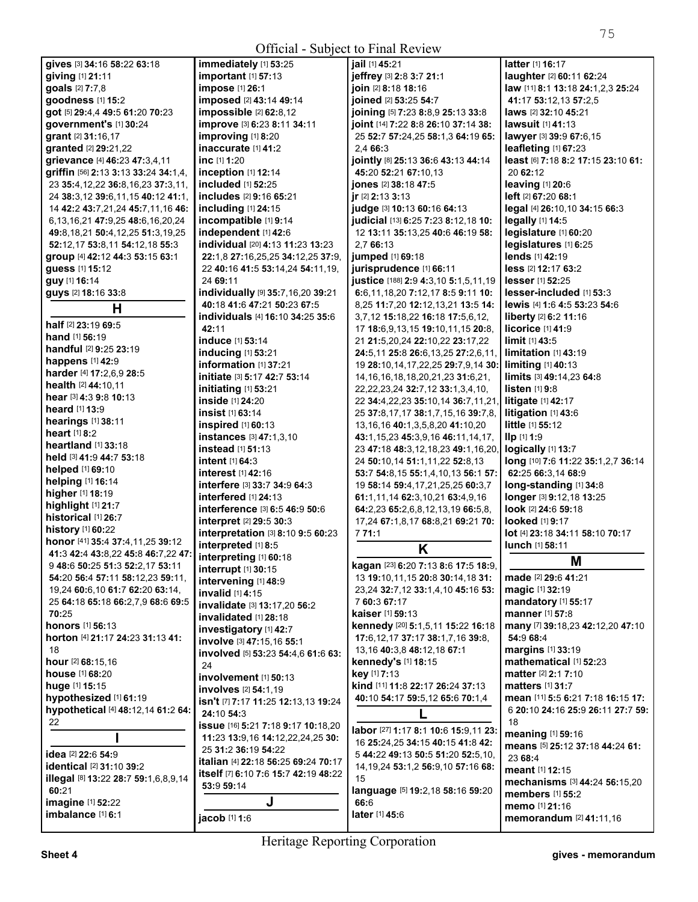| <b>Official - Subject to Final Review</b> |                                                 |                                                                                        |                                             |
|-------------------------------------------|-------------------------------------------------|----------------------------------------------------------------------------------------|---------------------------------------------|
| gives [3] 34:16 58:22 63:18               | immediately [1] 53:25                           | iail [1] 45:21                                                                         | <b>latter</b> [1] <b>16:17</b>              |
| giving [1] 21:11                          | <b>important</b> [1] <b>57:13</b>               | jeffrey [3] 2:8 3:7 21:1                                                               | laughter [2] 60:11 62:24                    |
| goals [2] 7:7,8                           | impose [1] 26:1                                 | join [2] 8:18 18:16                                                                    | law [11] 8:1 13:18 24:1,2,3 25:24           |
| goodness [1] 15:2                         | imposed [2] 43:14 49:14                         | joined [2] 53:25 54:7                                                                  | 41:17 53:12,13 57:2,5                       |
| got [5] 29:4,4 49:5 61:20 70:23           | impossible [2] 62:8,12                          | joining [5] 7:23 8:8,9 25:13 33:8                                                      | laws [2] 32:10 45:21                        |
| government's [1] 30:24                    | improve [3] 6:23 8:11 34:11                     | joint [14] 7:22 8:8 26:10 37:14 38:                                                    | <b>lawsuit</b> [1] 41:13                    |
| grant [2] 31:16,17                        | improving [1] 8:20                              | 25 52:7 57:24,25 58:1,3 64:19 65:                                                      | lawyer [3] 39:9 67:6,15                     |
| granted [2] 29:21,22                      | inaccurate $[1]$ 41:2                           | 2.4 66:3                                                                               | leafleting $[1]$ 67:23                      |
| grievance [4] 46:23 47:3,4,11             | inc $[1]$ 1:20                                  | jointly [8] 25:13 36:6 43:13 44:14                                                     | least [6] 7:18 8:2 17:15 23:10 61:          |
| griffin [56] 2:13 3:13 33:24 34:1,4,      | inception $[1]$ 12:14                           | 45:20 52:21 67:10.13                                                                   | 20 62:12                                    |
| 23 35:4, 12, 22 36:8, 16, 23 37:3, 11,    | included [1] 52:25                              | jones [2] 38:18 47:5                                                                   | leaving $[1]$ 20:6                          |
| 24 38:3,12 39:6,11,15 40:12 41:1,         | <b>includes</b> [2] 9:16 65:21                  | ir $[2]$ 2:13 3:13                                                                     | left [2] 67:20 68:1                         |
| 14 42:2 43:7,21,24 45:7,11,16 46:         | including [1] 24:15                             | judge [3] 10:13 60:16 64:13                                                            | legal [4] 26:10,10 34:15 66:3               |
| 6, 13, 16, 21 47: 9, 25 48: 6, 16, 20, 24 | incompatible [1] 9:14                           | judicial [13] 6:25 7:23 8:12,18 10:                                                    | $legally$ [1] 14:5                          |
| 49:8, 18, 21 50:4, 12, 25 51:3, 19, 25    | independent [1] 42:6                            | 12 13:11 35:13,25 40:6 46:19 58:                                                       | legislature [1] 60:20                       |
| 52:12,17 53:8,11 54:12,18 55:3            | <b>individual</b> [20] <b>4:13 11:23 13:23</b>  | 2,7 66:13                                                                              | legislatures [1] 6:25                       |
| group [4] 42:12 44:3 53:15 63:1           | 22:1,8 27:16,25,25 34:12,25 37:9,               | jumped [1] 69:18                                                                       |                                             |
| guess [1] 15:12                           | 22 40:16 41:5 53:14,24 54:11,19,                | jurisprudence [1] 66:11                                                                | <b>less</b> [2] <b>12:17 63:2</b>           |
| guy [1] 16:14                             | 24 69:11                                        | justice [188] 2:9 4:3,10 5:1,5,11,19                                                   | $lesser$ $[1]$ 52:25                        |
| guys [2] 18:16 33:8                       | individually [9] 35:7,16,20 39:21               | 6:6,11,18,20 7:12,17 8:5 9:11 10:                                                      | lesser-included [1] 53:3                    |
| н                                         | 40:18 41:6 47:21 50:23 67:5                     | 8,25 11:7,20 12:12,13,21 13:5 14:                                                      | <b>lewis</b> [4] 1:6 4:5 53:23 54:6         |
| half $[2]$ 23:19 69:5                     | <b>individuals</b> [4] <b>16:10 34:25 35:6</b>  | 3,7,12 15:18,22 16:18 17:5,6,12,                                                       | liberty [2] 6:2 11:16                       |
| <b>hand</b> [1] <b>56:19</b>              | 42:11                                           | 17 18:6,9,13,15 19:10,11,15 20:8,                                                      | $licorice$ [1] 41:9                         |
| <b>handful</b> [2] <b>9:25 23:19</b>      | <b>induce</b> [1] <b>53:14</b>                  | 21 21:5,20,24 22:10,22 23:17,22                                                        | $limit$ [1] 43:5<br>limitation [1] 43:19    |
| happens [1] 42:9                          | inducing [1] 53:21<br>information [1] 37:21     | 24:5,11 25:8 26:6,13,25 27:2,6,11,                                                     | $limiting [1]$ 40:13                        |
| harder [4] 17:2,6,9 28:5                  | initiate [3] 5:17 42:7 53:14                    | 19 28:10,14,17,22,25 29:7,9,14 30:                                                     | limits [3] 49:14,23 64:8                    |
| <b>health</b> $[2]$ 44:10,11              | <b>initiating</b> [1] <b>53:21</b>              | 14, 16, 16, 18, 18, 20, 21, 23 31: 6, 21,<br>22, 22, 23, 24 32: 7, 12 33: 1, 3, 4, 10, | $listen$ [1] 9:8                            |
| hear [3] 4:3 9:8 10:13                    | inside [1] 24:20                                | 22 34:4,22,23 35:10,14 36:7,11,21,                                                     | litigate $[1]$ 42:17                        |
| <b>heard</b> $[1]$ 13:9                   | insist [1] 63:14                                | 25 37:8,17,17 38:1,7,15,16 39:7,8,                                                     | litigation $[1]$ 43:6                       |
| hearings [1] 38:11                        | inspired $[1]$ 60:13                            | 13, 16, 16 40: 1, 3, 5, 8, 20 41: 10, 20                                               | <b>little</b> $[1]$ 55:12                   |
| <b>heart</b> $[1]$ 8:2                    | instances [3] 47:1,3,10                         | 43:1,15,23 45:3,9,16 46:11,14,17,                                                      | $\mathbf{IIp}$ [1] 1:9                      |
| heartland [1] 33:18                       | <b>instead</b> [1] <b>51:13</b>                 | 23 <b>47:</b> 18 <b>48:</b> 3,12,18,23 <b>49:</b> 1,16,20,                             | logically $[1]$ 13:7                        |
| held [3] 41:9 44:7 53:18                  | intent $[1] 64:3$                               | 24 50:10,14 51:1,11,22 52:8,13                                                         | long [10] 7:6 11:22 35:1,2,7 36:14          |
| <b>helped</b> [1] 69:10                   | interest [1] 42:16                              | 53:7 54:8,15 55:1,4,10,13 56:1 57:                                                     | 62:25 66:3,14 68:9                          |
| helping [1] 16:14                         | interfere [3] 33:7 34:9 64:3                    | 19 58:14 59:4,17,21,25,25 60:3,7                                                       | long-standing [1] 34:8                      |
| higher [1] 18:19                          | interfered [1] 24:13                            | 61:1,11,14 62:3,10,21 63:4,9,16                                                        | longer [3] 9:12,18 13:25                    |
| highlight [1] 21:7                        | interference [3] 6:5 46:9 50:6                  | 64:2,23 65:2,6,8,12,13,19 66:5,8,                                                      | look [2] 24:6 59:18                         |
| historical [1] 26:7                       | <b>interpret</b> [2] 29:5 30:3                  | 17,24 67:1,8,17 68:8,21 69:21 70:                                                      | <b>looked</b> [1] 9:17                      |
| history $[1]$ 60:22                       | <b>interpretation</b> [3] <b>8:10 9:5 60:23</b> | 7 71:1                                                                                 | <b>lot</b> [4] 23:18 34:11 58:10 70:17      |
| honor [41] 35:4 37:4,11,25 39:12          | interpreted [1] 8:5                             | K                                                                                      | <b>lunch</b> [1] <b>58:11</b>               |
| 41:3 42:4 43:8,22 45:8 46:7,22 47:        | interpreting $[1]$ 60:18                        |                                                                                        | M                                           |
| 9 48:6 50:25 51:3 52:2,17 53:11           | interrupt [1] 30:15                             | kagan [23] 6:20 7:13 8:6 17:5 18:9,                                                    |                                             |
| 54:20 56:4 57:11 58:12,23 59:11,          | intervening [1] 48:9                            | 13 19:10,11,15 20:8 30:14,18 31:                                                       | made [2] 29:6 41:21                         |
| 19,24 60:6,10 61:7 62:20 63:14,           | invalid [1] 4:15                                | 23,24 32:7,12 33:1,4,10 45:16 53:                                                      | magic [1] 32:19                             |
| 25 64:18 65:18 66:2,7,9 68:6 69:5         | invalidate [3] 13:17,20 56:2                    | 7 60:3 67:17                                                                           | mandatory [1] 55:17                         |
| 70:25                                     | invalidated [1] 28:18                           | <b>kaiser</b> [1] <b>59:13</b>                                                         | <b>manner</b> [1] 57:8                      |
| <b>honors</b> [1] 56:13                   | investigatory [1] 42:7                          | kennedy [20] 5:1,5,11 15:22 16:18                                                      | many [7] 39:18,23 42:12,20 47:10            |
| horton [4] 21:17 24:23 31:13 41:          | involve [3] 47:15,16 55:1                       | 17:6, 12, 17 37: 17 38: 1, 7, 16 39: 8,                                                | 54:9 68:4                                   |
| 18                                        | involved [5] 53:23 54:4,6 61:6 63:              | 13,16 40:3,8 48:12,18 67:1                                                             | margins [1] 33:19<br>mathematical [1] 52:23 |
| hour [2] 68:15,16<br>house [1] 68:20      | 24                                              | kennedy's [1] 18:15<br>key [1] 7:13                                                    | <b>matter</b> [2] <b>2:1 7:10</b>           |
| huge [1] 15:15                            | involvement [1] 50:13                           | kind [11] 11:8 22:17 26:24 37:13                                                       | <b>matters</b> [1] 31:7                     |
| hypothesized [1] 61:19                    | involves [2] 54:1,19                            | 40:10 54:17 59:5,12 65:6 70:1,4                                                        | mean [11] 5:5 6:21 7:18 16:15 17:           |
| hypothetical [4] 48:12,14 61:2 64:        | isn't [7] 7:17 11:25 12:13,13 19:24             |                                                                                        | 6 20:10 24:16 25:9 26:11 27:7 59:           |
| 22                                        | 24:10 54:3                                      |                                                                                        | 18                                          |
|                                           | issue [16] 5:21 7:18 9:17 10:18,20              | labor [27] 1:17 8:1 10:6 15:9,11 23:                                                   | meaning [1] 59:16                           |
|                                           | 11:23 13:9,16 14:12,22,24,25 30:                | 16 25:24,25 34:15 40:15 41:8 42:                                                       | means [5] 25:12 37:18 44:24 61:             |
| idea [2] 22:6 54:9                        | 25 31:2 36:19 54:22                             | 5 44:22 49:13 50:5 51:20 52:5,10,                                                      | 23 68:4                                     |
| identical [2] 31:10 39:2                  | italian [4] 22:18 56:25 69:24 70:17             | 14, 19, 24 53: 1, 2 56: 9, 10 57: 16 68:                                               | meant [1] 12:15                             |
| illegal [8] 13:22 28:7 59:1,6,8,9,14      | itself [7] 6:10 7:6 15:7 42:19 48:22            | 15                                                                                     | mechanisms [3] 44:24 56:15,20               |
| 60:21                                     | 53:9 59:14                                      | language [5] 19:2,18 58:16 59:20                                                       | members [1] 55:2                            |
| imagine [1] 52:22                         | J                                               | 66:6                                                                                   | memo [1] 21:16                              |
| imbalance [1] 6:1                         | jacob [1] 1:6                                   | later [1] 45:6                                                                         | memorandum [2] 41:11,16                     |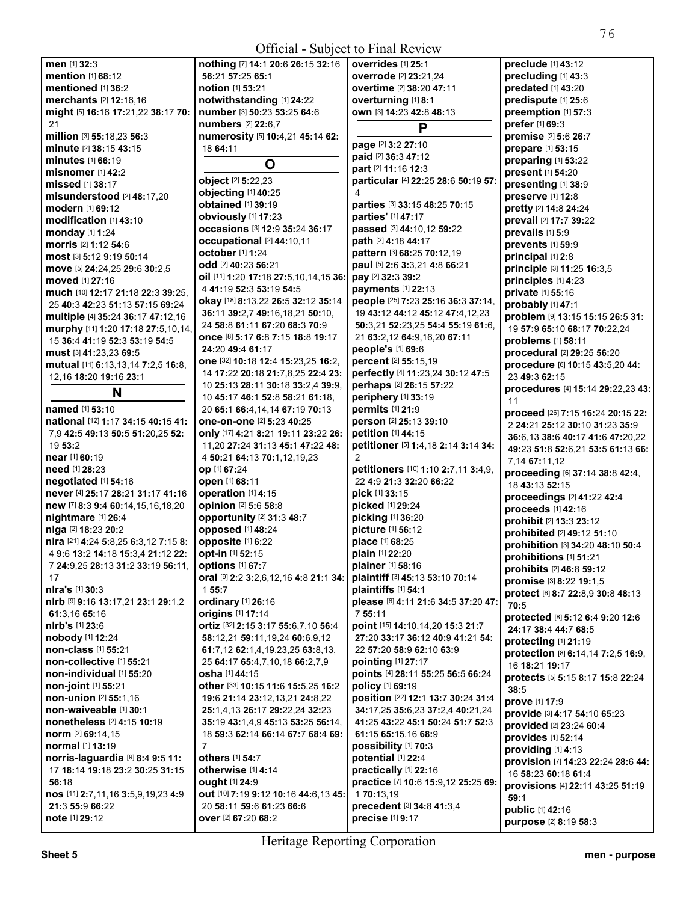| men [1] 32:3                                                              | nothing [7] 14:1 20:6 26:15 32:16        | overrides [1] 25:1                  | preclude [1] 43:12                 |
|---------------------------------------------------------------------------|------------------------------------------|-------------------------------------|------------------------------------|
| <b>mention</b> [1] 68:12                                                  | 56:21 57:25 65:1                         | overrode [2] 23:21,24               | precluding [1] 43:3                |
| mentioned [1] 36:2                                                        | notion [1] 53:21                         | overtime [2] 38:20 47:11            | predated [1] 43:20                 |
| merchants [2] 12:16,16                                                    | notwithstanding [1] 24:22                | overturning [1] 8:1                 | predispute [1] 25:6                |
| might [5] 16:16 17:21,22 38:17 70:                                        | number [3] 50:23 53:25 64:6              | OWN [3] 14:23 42:8 48:13            | preemption [1] 57:3                |
| 21                                                                        | numbers [2] 22:6.7                       | P                                   | prefer [1] 69:3                    |
| million [3] 55:18,23 56:3                                                 | numerosity [5] 10:4,21 45:14 62:         |                                     | premise [2] 5:6 26:7               |
| minute [2] 38:15 43:15                                                    | 18 64:11                                 | page [2] 3:2 27:10                  | prepare [1] 53:15                  |
| minutes $[1]$ 66:19                                                       |                                          | paid [2] 36:3 47:12                 | preparing [1] 53:22                |
| misnomer $[1]$ 42:2                                                       | O                                        | part [2] 11:16 12:3                 | present [1] 54:20                  |
| missed [1] 38:17                                                          | object [2] 5:22,23                       | particular [4] 22:25 28:6 50:19 57: | presenting [1] 38:9                |
| misunderstood [2] 48:17,20                                                | objecting [1] 40:25                      | 4                                   | preserve [1] 12:8                  |
| modern [1] 69:12                                                          | obtained [1] 39:19                       | parties [3] 33:15 48:25 70:15       |                                    |
|                                                                           | obviously [1] 17:23                      | parties' [1] 47:17                  | pretty [2] 14:8 24:24              |
| modification [1] 43:10                                                    | occasions [3] 12:9 35:24 36:17           | passed [3] 44:10,12 59:22           | prevail [2] 17:7 39:22             |
| monday [1] 1:24                                                           | occupational [2] 44:10,11                | path [2] 4:18 44:17                 | prevails [1] 5:9                   |
| morris [2] 1:12 54:6                                                      | <b>october</b> [1] 1:24                  | pattern [3] 68:25 70:12,19          | prevents [1] 59:9                  |
| most [3] 5:12 9:19 50:14                                                  | odd [2] 40:23 56:21                      | paul [5] 2:6 3:3,21 4:8 66:21       | principal [1] 2:8                  |
| move [5] 24:24,25 29:6 30:2,5                                             |                                          | pay [2] 32:3 39:2                   | principle [3] 11:25 16:3,5         |
| moved [1] 27:16                                                           | oil [11] 1:20 17:18 27:5,10,14,15 36:    |                                     | principles [1] 4:23                |
| much [10] 12:17 21:18 22:3 39:25,                                         | 4 41:19 52:3 53:19 54:5                  | payments [1] 22:13                  | private [1] 55:16                  |
| 25 40:3 42:23 51:13 57:15 69:24                                           | okay [18] 8:13,22 26:5 32:12 35:14       | people [25] 7:23 25:16 36:3 37:14,  | probably [1] 47:1                  |
| multiple [4] 35:24 36:17 47:12,16                                         | 36:11 39:2,7 49:16,18,21 50:10,          | 19 43:12 44:12 45:12 47:4,12,23     | problem [9] 13:15 15:15 26:5 31:   |
| murphy [11] 1:20 17:18 27:5,10,14,                                        | 24 58:8 61:11 67:20 68:3 70:9            | 50:3.21 52:23.25 54:4 55:19 61:6.   | 19 57:9 65:10 68:17 70:22,24       |
| 15 36:4 41:19 52:3 53:19 54:5                                             | <b>once</b> [8] 5:17 6:8 7:15 18:8 19:17 | 21 63:2,12 64:9,16,20 67:11         | problems [1] 58:11                 |
| must [3] 41:23,23 69:5                                                    | 24:20 49:4 61:17                         | people's [1] 69:6                   | procedural [2] 29:25 56:20         |
| mutual [11] 6:13,13,14 7:2,5 16:8,                                        | one [32] 10:18 12:4 15:23,25 16:2,       | percent [2] 55:15,19                | procedure [6] 10:15 43:5,20 44:    |
| 12,16 18:20 19:16 23:1                                                    | 14 17:22 20:18 21:7,8,25 22:4 23:        | perfectly [4] 11:23,24 30:12 47:5   | 23 49:3 62:15                      |
|                                                                           | 10 25:13 28:11 30:18 33:2,4 39:9,        | perhaps [2] 26:15 57:22             | procedures [4] 15:14 29:22,23 43:  |
| N                                                                         | 10 45:17 46:1 52:8 58:21 61:18,          | periphery [1] 33:19                 | 11                                 |
| <b>named</b> [1] 53:10                                                    | 20 65:1 66:4,14,14 67:19 70:13           | permits [1] 21:9                    | proceed [26] 7:15 16:24 20:15 22:  |
| national [12] 1:17 34:15 40:15 41:                                        | one-on-one [2] 5:23 40:25                | person [2] 25:13 39:10              | 2 24:21 25:12 30:10 31:23 35:9     |
| 7,9 42:5 49:13 50:5 51:20,25 52:                                          | only [17] 4:21 8:21 19:11 23:22 26:      | petition [1] 44:15                  |                                    |
| 19 53:2                                                                   | 11,20 27:24 31:13 45:1 47:22 48:         | petitioner [5] 1:4,18 2:14 3:14 34: | 36:6,13 38:6 40:17 41:6 47:20,22   |
| near [1] 60:19                                                            | 4 50:21 64:13 70:1,12,19,23              | 2                                   | 49:23 51:8 52:6,21 53:5 61:13 66:  |
| need [1] 28:23                                                            | op [1] 67:24                             | petitioners [10] 1:10 2:7,11 3:4,9, | 7,14 67:11,12                      |
| negotiated $[1]$ 54:16                                                    | open [1] 68:11                           | 22 4:9 21:3 32:20 66:22             | proceeding [6] 37:14 38:8 42:4,    |
| never [4] 25:17 28:21 31:17 41:16                                         | operation [1] 4:15                       | pick [1] 33:15                      | 18 43:13 52:15                     |
|                                                                           |                                          |                                     | proceedings [2] 41:22 42:4         |
| new [7] 8:3 9:4 60:14,15,16,18,20                                         | opinion [2] 5:6 58:8                     | picked [1] 29:24                    | proceeds [1] 42:16                 |
| nightmare [1] 26:4                                                        | opportunity [2] 31:3 48:7                | picking [1] 36:20                   | prohibit [2] 13:3 23:12            |
| nlga [2] 18:23 20:2                                                       | opposed [1] 48:24                        | picture [1] 56:12                   | prohibited [2] 49:12 51:10         |
| nlra [21] 4:24 5:8,25 6:3,12 7:15 8:                                      | opposite [1] 6:22                        | place [1] 68:25                     | prohibition [3] 34:20 48:10 50:4   |
| 4 9:6 13:2 14:18 15:3,4 21:12 22:                                         | opt-in [1] 52:15                         | plain [1] 22:20                     | prohibitions [1] 51:21             |
| 7 <b>24:</b> 9,25 <b>28:</b> 13 <b>31:</b> 2 <b>33:</b> 19 <b>56:</b> 11, | <b>options</b> [1] <b>67:7</b>           | <b>plainer</b> [1] <b>58:16</b>     | prohibits [2] 46:8 59:12           |
| 17                                                                        | oral [9] 2:2 3:2,6,12,16 4:8 21:1 34:    | plaintiff [3] 45:13 53:10 70:14     | promise [3] 8:22 19:1,5            |
| nlra's [1] 30:3                                                           | 1 55:7                                   | plaintiffs [1] 54:1                 | protect [6] 8:7 22:8,9 30:8 48:13  |
| nirb [9] 9:16 13:17,21 23:1 29:1,2                                        | ordinary [1] 26:16                       | please [6] 4:11 21:6 34:5 37:20 47: | 70:5                               |
| 61:3,16 65:16                                                             | origins [1] 17:14                        | 7 55:11                             | protected [8] 5:12 6:4 9:20 12:6   |
| nirb's [1] 23:6                                                           | ortiz [32] 2:15 3:17 55:6,7,10 56:4      | point [15] 14:10,14,20 15:3 21:7    | 24:17 38:4 44:7 68:5               |
| nobody [1] 12:24                                                          | 58:12,21 59:11,19,24 60:6,9,12           | 27:20 33:17 36:12 40:9 41:21 54:    | protecting [1] 21:19               |
| non-class [1] 55:21                                                       | 61:7,12 62:1,4,19,23,25 63:8,13,         | 22 57:20 58:9 62:10 63:9            | protection [8] 6:14,14 7:2,5 16:9, |
| non-collective [1] 55:21                                                  | 25 64:17 65:4,7,10,18 66:2,7,9           | pointing [1] 27:17                  | 16 18:21 19:17                     |
| non-individual [1] 55:20                                                  | <b>osha</b> [1] <b>44:</b> 15            | points [4] 28:11 55:25 56:5 66:24   |                                    |
| non-joint [1] 55:21                                                       | other [33] 10:15 11:6 15:5,25 16:2       | policy [1] 69:19                    | protects [5] 5:15 8:17 15:8 22:24  |
| non-union [2] 55:1,16                                                     | 19:6 21:14 23:12,13,21 24:8,22           | position [22] 12:1 13:7 30:24 31:4  | 38:5                               |
| non-waiveable [1] 30:1                                                    | 25:1,4,13 26:17 29:22,24 32:23           | 34:17,25 35:6,23 37:2,4 40:21,24    | prove [1] 17:9                     |
| nonetheless [2] 4:15 10:19                                                | 35:19 43:1,4,9 45:13 53:25 56:14,        | 41:25 43:22 45:1 50:24 51:7 52:3    | provide [3] 4:17 54:10 65:23       |
| norm [2] 69:14,15                                                         | 18 59:3 62:14 66:14 67:7 68:4 69:        | 61:15 65:15.16 68:9                 | provided [2] 23:24 60:4            |
| normal [1] 13:19                                                          | $\overline{7}$                           | possibility [1] 70:3                | provides [1] 52:14                 |
| norris-laguardia [9] 8:4 9:5 11:                                          | others [1] 54:7                          |                                     | providing [1] 4:13                 |
|                                                                           |                                          | potential [1] 22:4                  | provision [7] 14:23 22:24 28:6 44: |
| 17 18:14 19:18 23:2 30:25 31:15                                           | otherwise [1] 4:14                       | practically [1] 22:16               | 16 58:23 60:18 61:4                |
| 56:18                                                                     | <b>ought</b> [1] 24:9                    | practice [7] 10:6 15:9,12 25:25 69: | provisions [4] 22:11 43:25 51:19   |
| nos [11] 2:7,11,16 3:5,9,19,23 4:9                                        | out [10] 7:19 9:12 10:16 44:6,13 45:     | 170:13,19                           | 59:1                               |
| 21:3 55:9 66:22                                                           | 20 58:11 59:6 61:23 66:6                 | precedent [3] 34:8 41:3,4           | public [1] 42:16                   |
| note [1] 29:12                                                            | over [2] 67:20 68:2                      | precise [1] 9:17                    | purpose [2] 8:19 58:3              |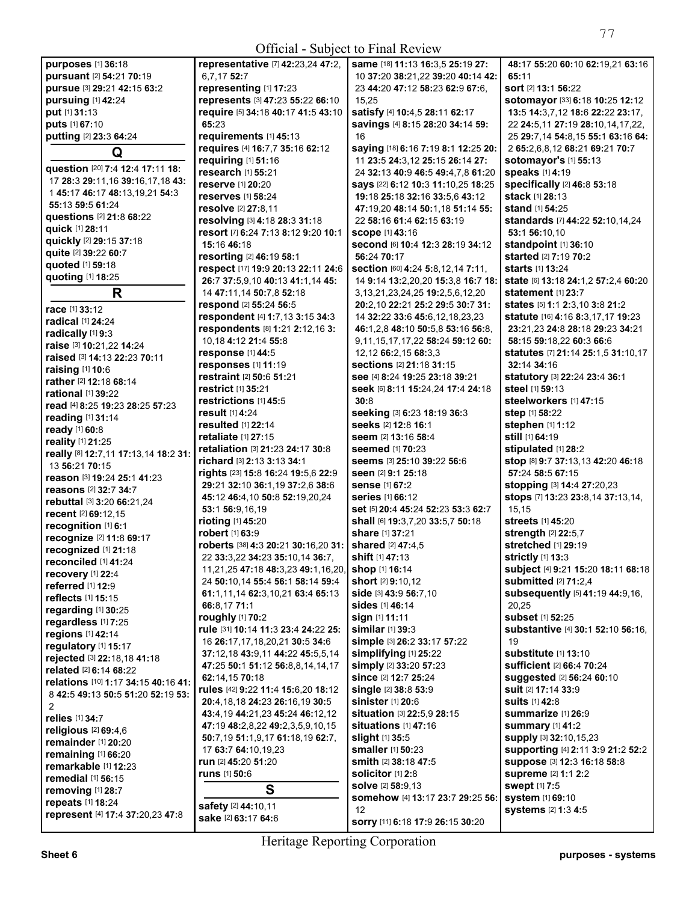Official - Subject to Final Review

| <b>Official</b> - Subject to Final Review  |                                                         |                                                       |                                                          |
|--------------------------------------------|---------------------------------------------------------|-------------------------------------------------------|----------------------------------------------------------|
| purposes [1] 36:18                         | representative [7] 42:23,24 47:2,                       | same [18] 11:13 16:3,5 25:19 27:                      | 48:17 55:20 60:10 62:19,21 63:16                         |
| pursuant [2] 54:21 70:19                   | 6,7,17 52:7                                             | 10 37:20 38:21,22 39:20 40:14 42:                     | 65:11                                                    |
| pursue [3] 29:21 42:15 63:2                | representing [1] 17:23                                  | 23 44:20 47:12 58:23 62:9 67:6,                       | sort [2] 13:1 56:22                                      |
| pursuing [1] 42:24                         | represents [3] 47:23 55:22 66:10                        | 15,25                                                 | sotomayor [33] 6:18 10:25 12:12                          |
| put [1] 31:13                              | require [5] 34:18 40:17 41:5 43:10                      | satisfy [4] 10:4,5 28:11 62:17                        | 13:5 14:3,7,12 18:6 22:22 23:17,                         |
| puts [1] 67:10                             | 65:23                                                   | savings [4] 8:15 28:20 34:14 59:                      | 22 24:5,11 27:19 28:10,14,17,22,                         |
| putting [2] 23:3 64:24                     | requirements [1] 45:13                                  | 16                                                    | 25 29:7,14 54:8,15 55:1 63:16 64:                        |
| Q                                          | requires [4] 16:7,7 35:16 62:12                         | saying [18] 6:16 7:19 8:1 12:25 20:                   | 2 65:2,6,8,12 68:21 69:21 70:7                           |
|                                            | requiring [1] 51:16                                     | 11 23:5 24:3,12 25:15 26:14 27:                       | sotomayor's [1] 55:13                                    |
| question [20] 7:4 12:4 17:11 18:           | research [1] 55:21                                      | 24 32:13 40:9 46:5 49:4,7,8 61:20                     | speaks [1] 4:19                                          |
| 17 28:3 29:11, 16 39:16, 17, 18 43:        | reserve [1] 20:20                                       | says [22] 6:12 10:3 11:10,25 18:25                    | specifically [2] 46:8 53:18                              |
| 1 45:17 46:17 48:13,19,21 54:3             | <b>reserves</b> [1] 58:24                               | 19:18 25:18 32:16 33:5,6 43:12                        | stack [1] 28:13                                          |
| 55:13 59:5 61:24                           | resolve [2] 27:8,11                                     | 47:19.20 48:14 50:1.18 51:14 55:                      | stand [1] 54:25                                          |
| questions [2] 21:8 68:22                   | resolving [3] 4:18 28:3 31:18                           | 22 58:16 61:4 62:15 63:19                             | standards [7] 44:22 52:10,14,24                          |
| quick [1] 28:11                            | resort [7] 6:24 7:13 8:12 9:20 10:1                     | <b>scope [1] 43:16</b>                                | 53:1 56:10.10                                            |
| quickly [2] 29:15 37:18                    | 15:16 46:18                                             | second [6] 10:4 12:3 28:19 34:12                      | standpoint [1] 36:10                                     |
| quite [2] 39:22 60:7                       | resorting [2] 46:19 58:1                                | 56:24 70:17                                           | started [2] 7:19 70:2                                    |
| quoted [1] 59:18                           | respect [17] 19:9 20:13 22:11 24:6                      | section [60] 4:24 5:8,12,14 7:11,                     | <b>starts</b> [1] 13:24                                  |
| quoting [1] 18:25                          | 26:7 37:5,9,10 40:13 41:1,14 45:                        | 14 9:14 13:2,20,20 15:3,8 16:7 18:                    | state [6] 13:18 24:1,2 57:2,4 60:20                      |
| R                                          | 14 47:11,14 50:7,8 52:18                                | 3, 13, 21, 23, 24, 25 19: 2, 5, 6, 12, 20             | <b>statement</b> [1] 23:7                                |
| race [1] 33:12                             | respond [2] 55:24 56:5                                  | 20:2.10 22:21 25:2 29:5 30:7 31:                      | states [5] 1:1 2:3,10 3:8 21:2                           |
| radical [1] 24:24                          | respondent [4] 1:7,13 3:15 34:3                         | 14 32:22 33:6 45:6,12,18,23,23                        | statute [16] 4:16 8:3,17,17 19:23                        |
| radically [1] 9:3                          | respondents [8] 1:21 2:12,16 3:                         | 46:1,2,8 48:10 50:5,8 53:16 56:8,                     | 23:21.23 24:8 28:18 29:23 34:21                          |
| raise [3] 10:21,22 14:24                   | 10.18 4:12 21:4 55:8                                    | 9,11,15,17,17,22 58:24 59:12 60:                      | 58:15 59:18,22 60:3 66:6                                 |
| raised [3] 14:13 22:23 70:11               | response [1] 44:5                                       | 12,12 66:2,15 68:3,3                                  | statutes [7] 21:14 25:1,5 31:10,17                       |
| raising [1] 10:6                           | responses [1] 11:19                                     | sections [2] 21:18 31:15                              | 32:14 34:16                                              |
| <b>rather</b> [2] <b>12:18 68:14</b>       | restraint [2] 50:6 51:21                                | see [4] 8:24 19:25 23:18 39:21                        | statutory [3] 22:24 23:4 36:1                            |
| <b>rational</b> [1] 39:22                  | <b>restrict</b> [1] 35:21                               | Seek [6] 8:11 15:24,24 17:4 24:18                     | steel [1] 59:13                                          |
| read [4] 8:25 19:23 28:25 57:23            | restrictions [1] 45:5                                   | 30:8                                                  | steelworkers [1] 47:15                                   |
| reading [1] 31:14                          | result [1] 4:24                                         | seeking [3] 6:23 18:19 36:3<br>seeks [2] 12:8 16:1    | step [1] 58:22                                           |
| ready [1] 60:8                             | <b>resulted</b> [1] 22:14<br><b>retaliate</b> [1] 27:15 | seem [2] 13:16 58:4                                   | stephen [1] 1:12<br>still [1] 64:19                      |
| reality [1] 21:25                          | retaliation [3] 21:23 24:17 30:8                        |                                                       |                                                          |
| really [8] 12:7,11 17:13,14 18:2 31:       | richard [3] 2:13 3:13 34:1                              | <b>seemed</b> [1] 70:23<br>seems [3] 25:10 39:22 56:6 | stipulated [1] 28:2<br>stop [8] 9:7 37:13,13 42:20 46:18 |
| 13 56:21 70:15                             | rights [23] 15:8 16:24 19:5,6 22:9                      | seen [2] 9:1 25:18                                    | 57:24 58:5 67:15                                         |
| reason [3] 19:24 25:1 41:23                | 29:21 32:10 36:1,19 37:2,6 38:6                         | sense [1] 67:2                                        | stopping [3] 14:4 27:20,23                               |
| reasons [2] 32:7 34:7                      | 45:12 46:4,10 50:8 52:19,20,24                          | <b>series</b> [1] 66:12                               | stops [7] 13:23 23:8,14 37:13,14,                        |
| rebuttal [3] 3:20 66:21,24                 | 53:1 56:9,16,19                                         | set [5] 20:4 45:24 52:23 53:3 62:7                    | 15,15                                                    |
| recent [2] 69:12.15                        | rioting [1] 45:20                                       | shall [6] 19:3.7.20 33:5.7 50:18                      | streets [1] 45:20                                        |
| recognition [1] 6:1                        | robert [1] 63:9                                         | <b>share</b> [1] 37:21                                | strength [2] 22:5,7                                      |
| recognize [2] 11:8 69:17                   | roberts [38] 4:3 20:21 30:16,20 31:                     | shared [2] 47:4,5                                     | <b>stretched</b> [1] <b>29:1</b> 9                       |
| recognized [1] 21:18                       | 22 33:3,22 34:23 35:10,14 36:7,                         | <b>shift</b> [1] 47:13                                | <b>strictly</b> [1] 13:3                                 |
| reconciled [1] 41:24                       | 11,21,25 47:18 48:3,23 49:1,16,20,                      | shop [1] 16:14                                        | subject [4] 9:21 15:20 18:11 68:18                       |
| recovery [1] 22:4                          | 24 50:10,14 55:4 56:1 58:14 59:4                        | <b>short</b> [2] 9:10,12                              | <b>submitted</b> [2] 71:2,4                              |
| referred [1] 12:9                          | 61:1,11,14 62:3,10,21 63:4 65:13                        | side [3] 43:9 56:7,10                                 | subsequently [5] 41:19 44:9,16,                          |
| reflects [1] 15:15                         | 66:8,17 71:1                                            | sides [1] 46:14                                       | 20,25                                                    |
| regarding [1] 30:25<br>regardless [1] 7:25 | roughly [1] 70:2                                        | sign [1] 11:11                                        | subset [1] 52:25                                         |
| regions [1] 42:14                          | rule [31] 10:14 11:3 23:4 24:22 25:                     | similar [1] 39:3                                      | substantive [4] 30:1 52:10 56:16,                        |
| regulatory [1] 15:17                       | 16 26:17,17,18,20,21 30:5 34:6                          | simple [3] 26:2 33:17 57:22                           | 19                                                       |
| rejected [3] 22:18,18 41:18                | 37:12,18 43:9,11 44:22 45:5,5,14                        | simplifying [1] 25:22                                 | <b>substitute</b> [1] <b>13:10</b>                       |
| related [2] 6:14 68:22                     | 47:25 50:1 51:12 56:8,8,14,14,17                        | simply [2] 33:20 57:23                                | sufficient [2] 66:4 70:24                                |
| relations [10] 1:17 34:15 40:16 41:        | 62:14.15 70:18                                          | since [2] 12:7 25:24                                  | suggested [2] 56:24 60:10                                |
| 8 42:5 49:13 50:5 51:20 52:19 53:          | rules [42] 9:22 11:4 15:6,20 18:12                      | single [2] 38:8 53:9                                  | suit [2] 17:14 33:9                                      |
| 2                                          | 20:4.18.18 24:23 26:16.19 30:5                          | sinister [1] 20:6                                     | <b>suits</b> [1] 42:8                                    |
| relies [1] 34:7                            | 43:4,19 44:21,23 45:24 46:12,12                         | situation [3] 22:5,9 28:15                            | Summarize [1] 26:9                                       |
| religious $[2]$ 69:4,6                     | 47:19 48:2,8,22 49:2,3,5,9,10,15                        | situations [1] 47:16                                  | <b>summary</b> [1] 41:2                                  |
| remainder [1] 20:20                        | 50:7,19 51:1,9,17 61:18,19 62:7,                        | slight [1] 35:5                                       | Supply [3] 32:10,15,23                                   |
| remaining [1] 66:20                        | 17 63:7 64:10,19,23                                     | smaller [1] 50:23                                     | supporting [4] 2:11 3:9 21:2 52:2                        |
| remarkable [1] 12:23                       | run [2] 45:20 51:20                                     | smith [2] 38:18 47:5                                  | suppose [3] 12:3 16:18 58:8                              |
| <b>remedial</b> [1] 56:15                  | <b>runs</b> [1] <b>50:</b> 6                            | solicitor [1] 2:8                                     | supreme [2] 1:1 2:2                                      |
| removing [1] 28:7                          | S                                                       | solve [2] 58:9,13                                     | <b>swept [1] 7:5</b>                                     |
| repeats [1] 18:24                          | safety [2] 44:10,11                                     | somehow [4] 13:17 23:7 29:25 56:                      | <b>system</b> [1] 69:10                                  |
| represent [4] 17:4 37:20,23 47:8           | sake [2] 63:17 64:6                                     | 12                                                    | <b>systems</b> [2] 1:3 4:5                               |
|                                            |                                                         | sorry [11] 6:18 17:9 26:15 30:20                      |                                                          |